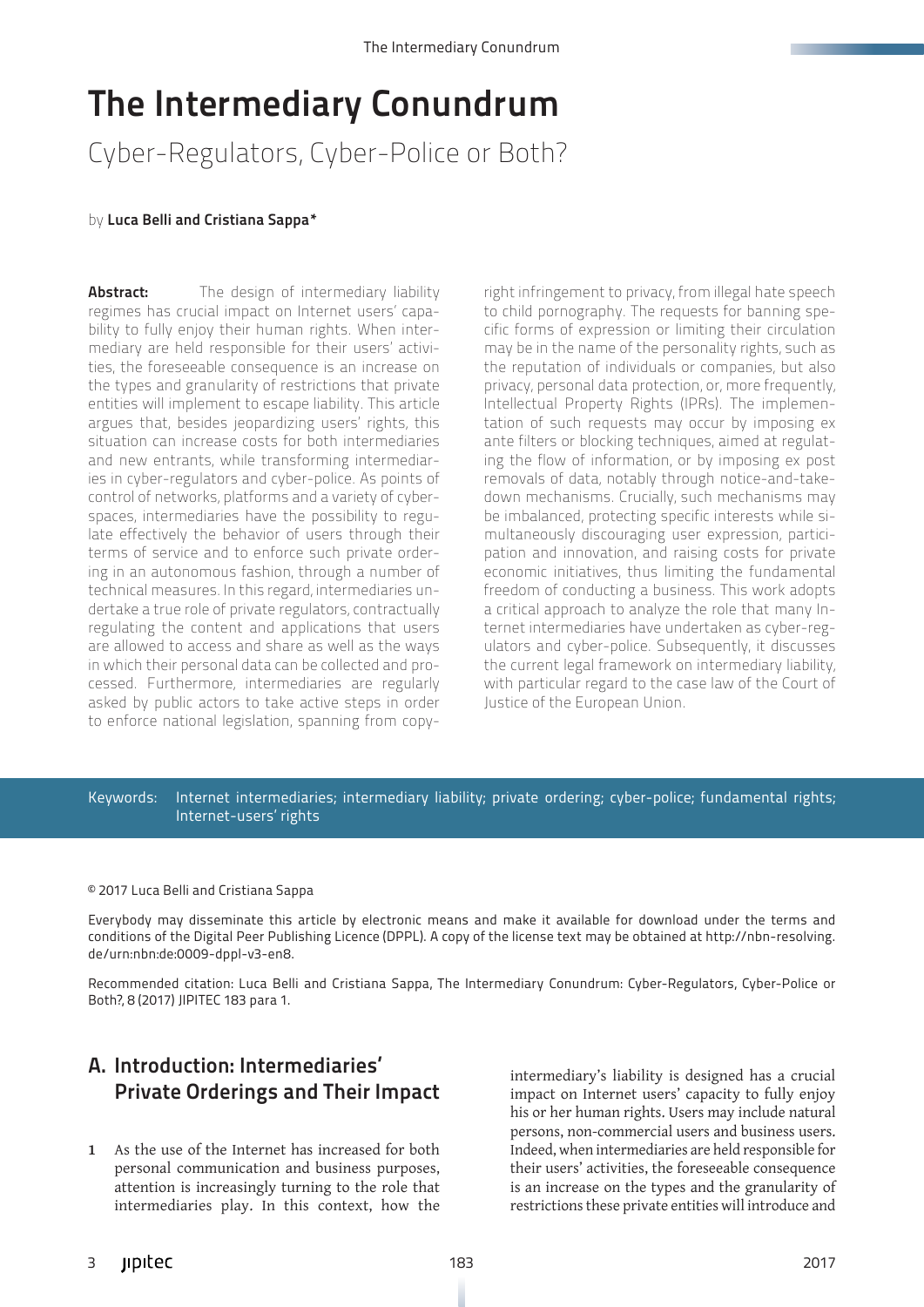# The Intermediary Conundrum

Cyber-Regulators, Cyber-Police or Both?

#### by Luca Belli and Cristiana Sappa\*

**Abstract:** The design of intermediary liability regimes has crucial impact on Internet users' capability to fully enjoy their human rights. When intermediary are held responsible for their users' activities, the foreseeable consequence is an increase on the types and granularity of restrictions that private entities will implement to escape liability. This article argues that, besides jeopardizing users' rights, this situation can increase costs for both intermediaries and new entrants, while transforming intermediaries in cyber-regulators and cyber-police. As points of control of networks, platforms and a variety of cyberspaces, intermediaries have the possibility to regulate effectively the behavior of users through their terms of service and to enforce such private ordering in an autonomous fashion, through a number of technical measures. In this regard, intermediaries undertake a true role of private regulators, contractually regulating the content and applications that users are allowed to access and share as well as the ways in which their personal data can be collected and processed. Furthermore, intermediaries are regularly asked by public actors to take active steps in order to enforce national legislation, spanning from copy-

right infringement to privacy, from illegal hate speech to child pornography. The requests for banning specific forms of expression or limiting their circulation may be in the name of the personality rights, such as the reputation of individuals or companies, but also privacy, personal data protection, or, more frequently, Intellectual Property Rights (IPRs). The implementation of such requests may occur by imposing ex ante filters or blocking techniques, aimed at regulating the flow of information, or by imposing ex post removals of data, notably through notice-and-takedown mechanisms. Crucially, such mechanisms may be imbalanced, protecting specific interests while simultaneously discouraging user expression, participation and innovation, and raising costs for private economic initiatives, thus limiting the fundamental freedom of conducting a business. This work adopts a critical approach to analyze the role that many Internet intermediaries have undertaken as cyber-regulators and cyber-police. Subsequently, it discusses the current legal framework on intermediary liability, with particular regard to the case law of the Court of Justice of the European Union.

#### Keywords: Internet intermediaries; intermediary liability; private ordering; cyber-police; fundamental rights; Internet-users' rights

#### © 2017 Luca Belli and Cristiana Sappa

Everybody may disseminate this article by electronic means and make it available for download under the terms and conditions of the Digital Peer Publishing Licence (DPPL). A copy of the license text may be obtained at [http://nbn-resolving.](http://nbn-resolving.de/urn:nbn:de:0009-dppl-v3-en8) [de/urn:nbn:de:0009-dppl-v3-en8.](http://nbn-resolving.de/urn:nbn:de:0009-dppl-v3-en8)

Recommended citation: Luca Belli and Cristiana Sappa, The Intermediary Conundrum: Cyber-Regulators, Cyber-Police or Both?, 8 (2017) JIPITEC 183 para 1.

# A. Introduction: Intermediaries' Private Orderings and Their Impact

**1** As the use of the Internet has increased for both personal communication and business purposes, attention is increasingly turning to the role that intermediaries play. In this context, how the

intermediary's liability is designed has a crucial impact on Internet users' capacity to fully enjoy his or her human rights. Users may include natural persons, non-commercial users and business users. Indeed, when intermediaries are held responsible for their users' activities, the foreseeable consequence is an increase on the types and the granularity of restrictions these private entities will introduce and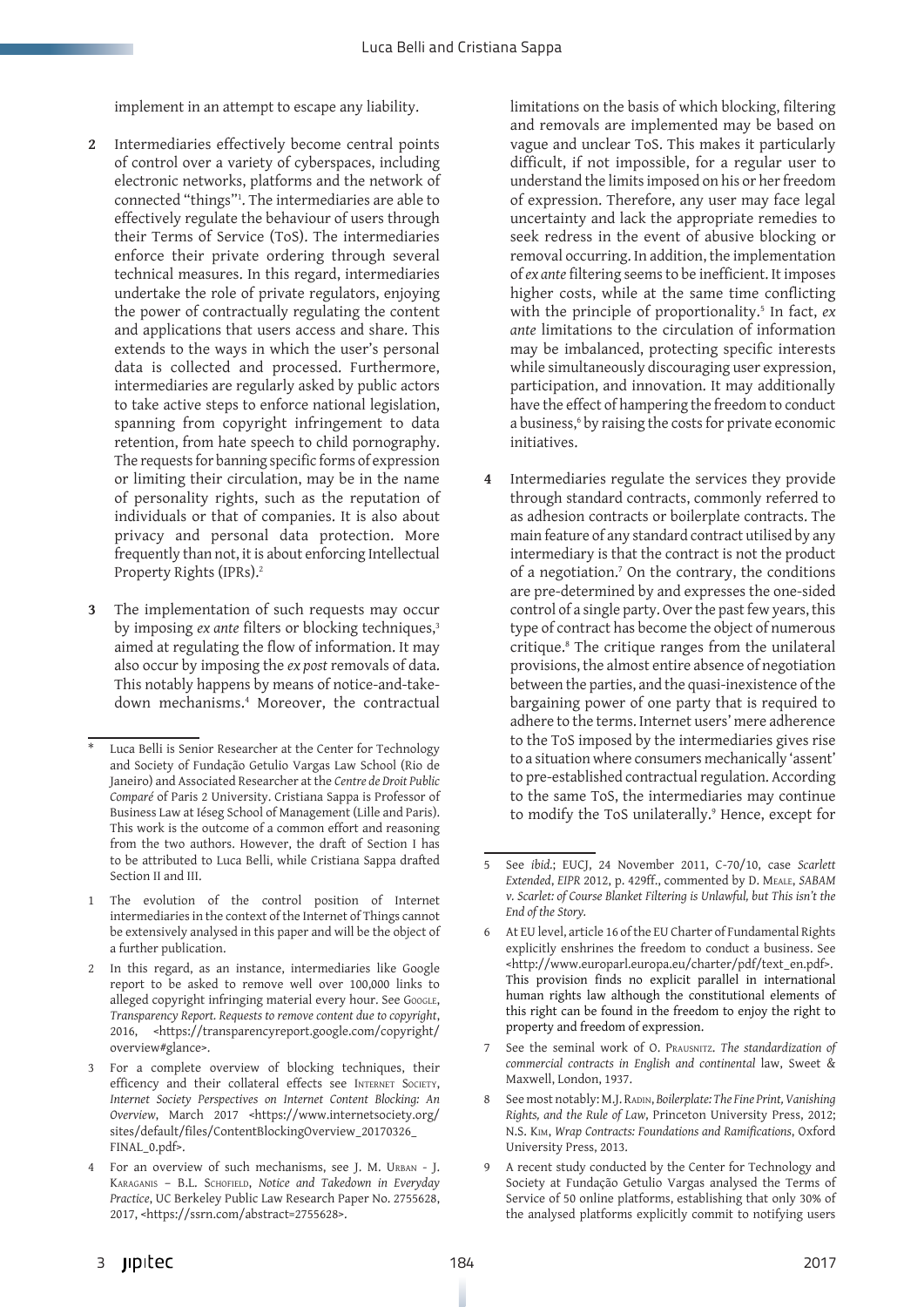implement in an attempt to escape any liability.

- **2** Intermediaries effectively become central points of control over a variety of cyberspaces, including electronic networks, platforms and the network of connected "things"1 . The intermediaries are able to effectively regulate the behaviour of users through their Terms of Service (ToS). The intermediaries enforce their private ordering through several technical measures. In this regard, intermediaries undertake the role of private regulators, enjoying the power of contractually regulating the content and applications that users access and share. This extends to the ways in which the user's personal data is collected and processed. Furthermore, intermediaries are regularly asked by public actors to take active steps to enforce national legislation, spanning from copyright infringement to data retention, from hate speech to child pornography. The requests for banning specific forms of expression or limiting their circulation, may be in the name of personality rights, such as the reputation of individuals or that of companies. It is also about privacy and personal data protection. More frequently than not, it is about enforcing Intellectual Property Rights (IPRs).2
- **3** The implementation of such requests may occur by imposing *ex ante* filters or blocking techniques,<sup>3</sup> aimed at regulating the flow of information. It may also occur by imposing the *ex post* removals of data. This notably happens by means of notice-and-takedown mechanisms.4 Moreover, the contractual

limitations on the basis of which blocking, filtering and removals are implemented may be based on vague and unclear ToS. This makes it particularly difficult, if not impossible, for a regular user to understand the limits imposed on his or her freedom of expression. Therefore, any user may face legal uncertainty and lack the appropriate remedies to seek redress in the event of abusive blocking or removal occurring. In addition, the implementation of *ex ante* filtering seems to be inefficient. It imposes higher costs, while at the same time conflicting with the principle of proportionality.<sup>5</sup> In fact, ex *ante* limitations to the circulation of information may be imbalanced, protecting specific interests while simultaneously discouraging user expression, participation, and innovation. It may additionally have the effect of hampering the freedom to conduct a business,6 by raising the costs for private economic initiatives.

**4** Intermediaries regulate the services they provide through standard contracts, commonly referred to as adhesion contracts or boilerplate contracts. The main feature of any standard contract utilised by any intermediary is that the contract is not the product of a negotiation.7 On the contrary, the conditions are pre-determined by and expresses the one-sided control of a single party. Over the past few years, this type of contract has become the object of numerous critique.8 The critique ranges from the unilateral provisions, the almost entire absence of negotiation between the parties, and the quasi-inexistence of the bargaining power of one party that is required to adhere to the terms. Internet users' mere adherence to the ToS imposed by the intermediaries gives rise to a situation where consumers mechanically 'assent' to pre-established contractual regulation. According to the same ToS, the intermediaries may continue to modify the ToS unilaterally.<sup>9</sup> Hence, except for

Luca Belli is Senior Researcher at the Center for Technology and Society of Fundação Getulio Vargas Law School (Rio de Janeiro) and Associated Researcher at the *Centre de Droit Public Comparé* of Paris 2 University. Cristiana Sappa is Professor of Business Law at Iéseg School of Management (Lille and Paris). This work is the outcome of a common effort and reasoning from the two authors. However, the draft of Section I has to be attributed to Luca Belli, while Cristiana Sappa drafted Section II and III.

The evolution of the control position of Internet intermediaries in the context of the Internet of Things cannot be extensively analysed in this paper and will be the object of a further publication.

In this regard, as an instance, intermediaries like Google report to be asked to remove well over 100,000 links to alleged copyright infringing material every hour. See Google, *Transparency Report. Requests to remove content due to copyright*, 2016, <https://transparencyreport.google.com/copyright/ overview#glance>.

<sup>3</sup> For a complete overview of blocking techniques, their efficency and their collateral effects see INTERNET SOCIETY, *Internet Society Perspectives on Internet Content Blocking: An Overview*, March 2017 <https://www.internetsociety.org/ sites/default/files/ContentBlockingOverview\_20170326\_ FINAL\_0.pdf>.

<sup>4</sup> For an overview of such mechanisms, see J. M. Urban - J. Karaganis – B.L. Schofield, *Notice and Takedown in Everyday Practice*, UC Berkeley Public Law Research Paper No. 2755628, 2017, <https://ssrn.com/abstract=2755628>.

<sup>5</sup> See *ibid.*; EUCJ, 24 November 2011, C-70/10, case *Scarlett Extended*, *EIPR* 2012, p. 429ff., commented by D. Meale, *SABAM v. Scarlet: of Course Blanket Filtering is Unlawful, but This isn't the End of the Story.*

At EU level, article 16 of the EU Charter of Fundamental Rights explicitly enshrines the freedom to conduct a business. See <http://www.europarl.europa.eu/charter/pdf/text\_en.pdf>. This provision finds no explicit parallel in international human rights law although the constitutional elements of this right can be found in the freedom to enjoy the right to property and freedom of expression.

<sup>7</sup> See the seminal work of O. Prausnitz. *The standardization of commercial contracts in English and continental* law, Sweet & Maxwell, London, 1937.

<sup>8</sup> See most notably: M.J. RADIN, *Boilerplate: The Fine Print*, *Vanishing Rights, and the Rule of Law*, Princeton University Press, 2012; N.S. Kim, *Wrap Contracts: Foundations and Ramifications*, Oxford University Press, 2013.

<sup>9</sup> A recent study conducted by the Center for Technology and Society at Fundação Getulio Vargas analysed the Terms of Service of 50 online platforms, establishing that only 30% of the analysed platforms explicitly commit to notifying users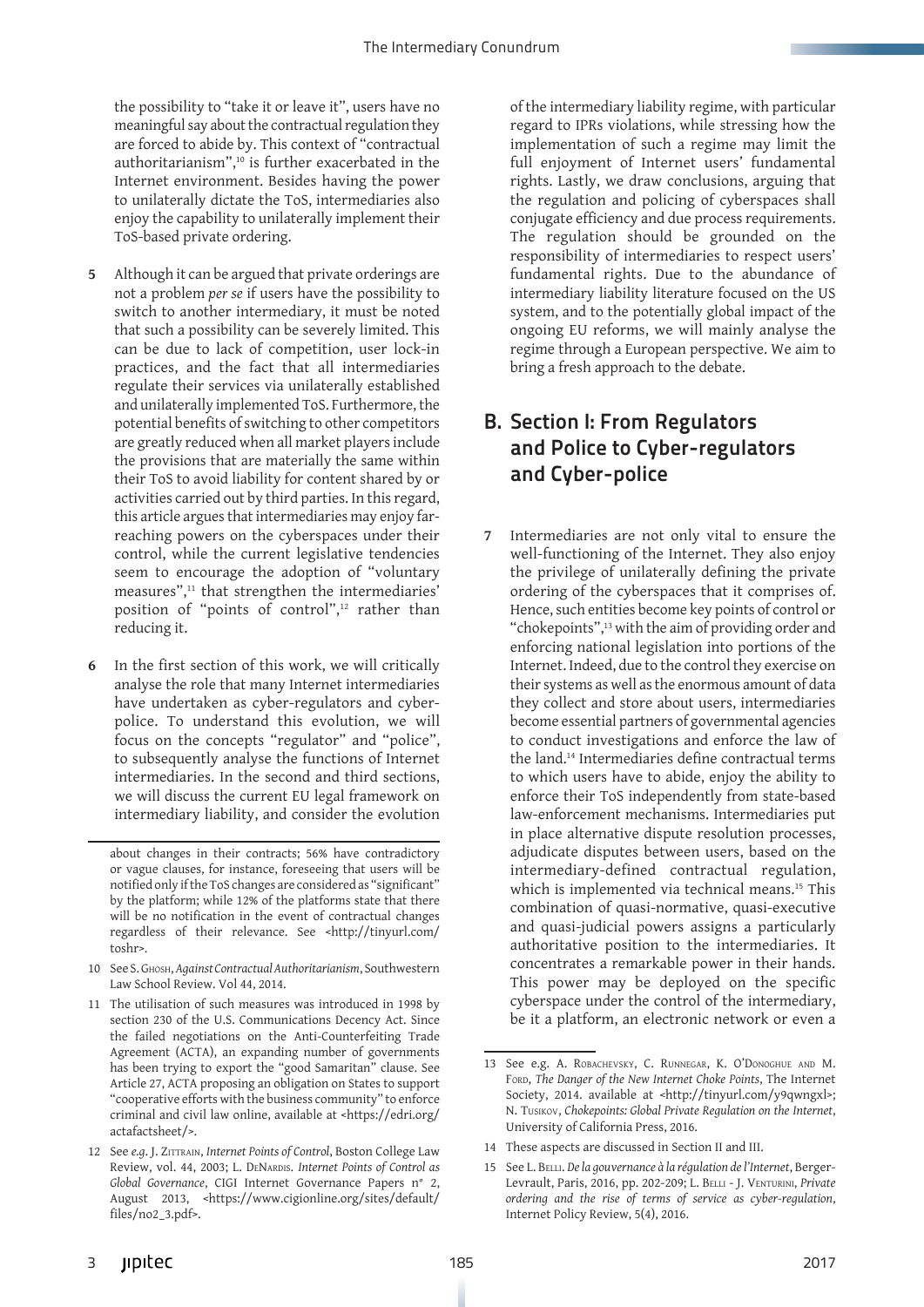the possibility to "take it or leave it", users have no meaningful say about the contractual regulation they are forced to abide by. This context of "contractual authoritarianism",10 is further exacerbated in the Internet environment. Besides having the power to unilaterally dictate the ToS, intermediaries also enjoy the capability to unilaterally implement their ToS-based private ordering.

- **5** Although it can be argued that private orderings are not a problem *per se* if users have the possibility to switch to another intermediary, it must be noted that such a possibility can be severely limited. This can be due to lack of competition, user lock-in practices, and the fact that all intermediaries regulate their services via unilaterally established and unilaterally implemented ToS. Furthermore, the potential benefits of switching to other competitors are greatly reduced when all market players include the provisions that are materially the same within their ToS to avoid liability for content shared by or activities carried out by third parties. In this regard, this article argues that intermediaries may enjoy farreaching powers on the cyberspaces under their control, while the current legislative tendencies seem to encourage the adoption of "voluntary measures",11 that strengthen the intermediaries' position of "points of control",<sup>12</sup> rather than reducing it.
- **6** In the first section of this work, we will critically analyse the role that many Internet intermediaries have undertaken as cyber-regulators and cyberpolice. To understand this evolution, we will focus on the concepts "regulator" and "police", to subsequently analyse the functions of Internet intermediaries. In the second and third sections, we will discuss the current EU legal framework on intermediary liability, and consider the evolution

- 10 See S. Ghosh, *Against Contractual Authoritarianism*, Southwestern Law School Review. Vol 44, 2014.
- 11 The utilisation of such measures was introduced in 1998 by section 230 of the U.S. Communications Decency Act. Since the failed negotiations on the Anti-Counterfeiting Trade Agreement (ACTA), an expanding number of governments has been trying to export the "good Samaritan" clause. See Article 27, ACTA proposing an obligation on States to support "cooperative efforts with the business community" to enforce criminal and civil law online, available at <https://edri.org/ actafactsheet/>.

of the intermediary liability regime, with particular regard to IPRs violations, while stressing how the implementation of such a regime may limit the full enjoyment of Internet users' fundamental rights. Lastly, we draw conclusions, arguing that the regulation and policing of cyberspaces shall conjugate efficiency and due process requirements. The regulation should be grounded on the responsibility of intermediaries to respect users' fundamental rights. Due to the abundance of intermediary liability literature focused on the US system, and to the potentially global impact of the ongoing EU reforms, we will mainly analyse the regime through a European perspective. We aim to bring a fresh approach to the debate.

# B. Section I: From Regulators and Police to Cyber-regulators and Cyber-police

**7** Intermediaries are not only vital to ensure the well-functioning of the Internet. They also enjoy the privilege of unilaterally defining the private ordering of the cyberspaces that it comprises of. Hence, such entities become key points of control or "chokepoints",13 with the aim of providing order and enforcing national legislation into portions of the Internet. Indeed, due to the control they exercise on their systems as well as the enormous amount of data they collect and store about users, intermediaries become essential partners of governmental agencies to conduct investigations and enforce the law of the land.14 Intermediaries define contractual terms to which users have to abide, enjoy the ability to enforce their ToS independently from state-based law-enforcement mechanisms. Intermediaries put in place alternative dispute resolution processes, adjudicate disputes between users, based on the intermediary-defined contractual regulation, which is implemented via technical means.<sup>15</sup> This combination of quasi-normative, quasi-executive and quasi-judicial powers assigns a particularly authoritative position to the intermediaries. It concentrates a remarkable power in their hands. This power may be deployed on the specific cyberspace under the control of the intermediary, be it a platform, an electronic network or even a

about changes in their contracts; 56% have contradictory or vague clauses, for instance, foreseeing that users will be notified only if the ToS changes are considered as "significant" by the platform; while 12% of the platforms state that there will be no notification in the event of contractual changes regardless of their relevance. See <http://tinyurl.com/ toshr>.

<sup>12</sup> See *e.g*. J. Zittrain, *Internet Points of Control*, Boston College Law Review, vol. 44, 2003; L. DENARDIS. *Internet Points of Control as Global Governance*, CIGI Internet Governance Papers n° 2, August 2013, <https://www.cigionline.org/sites/default/ files/no2\_3.pdf>.

<sup>13</sup> See e.g. A. Robachevsky, C. Runnegar, K. O'Donoghue and M. Ford, *The Danger of the New Internet Choke Points*, The Internet Society, 2014. available at <http://tinyurl.com/y9qwngxl>; N. Tusikov, *Chokepoints: Global Private Regulation on the Internet*, University of California Press, 2016.

<sup>14</sup> These aspects are discussed in Section II and III.

<sup>15</sup> See L. Belli. *De la gouvernance à la régulation de l'Internet*, Berger-Levrault, Paris, 2016, pp. 202-209; L. Belli - J. Venturini, *Private ordering and the rise of terms of service as cyber-regulation*, Internet Policy Review, 5(4), 2016.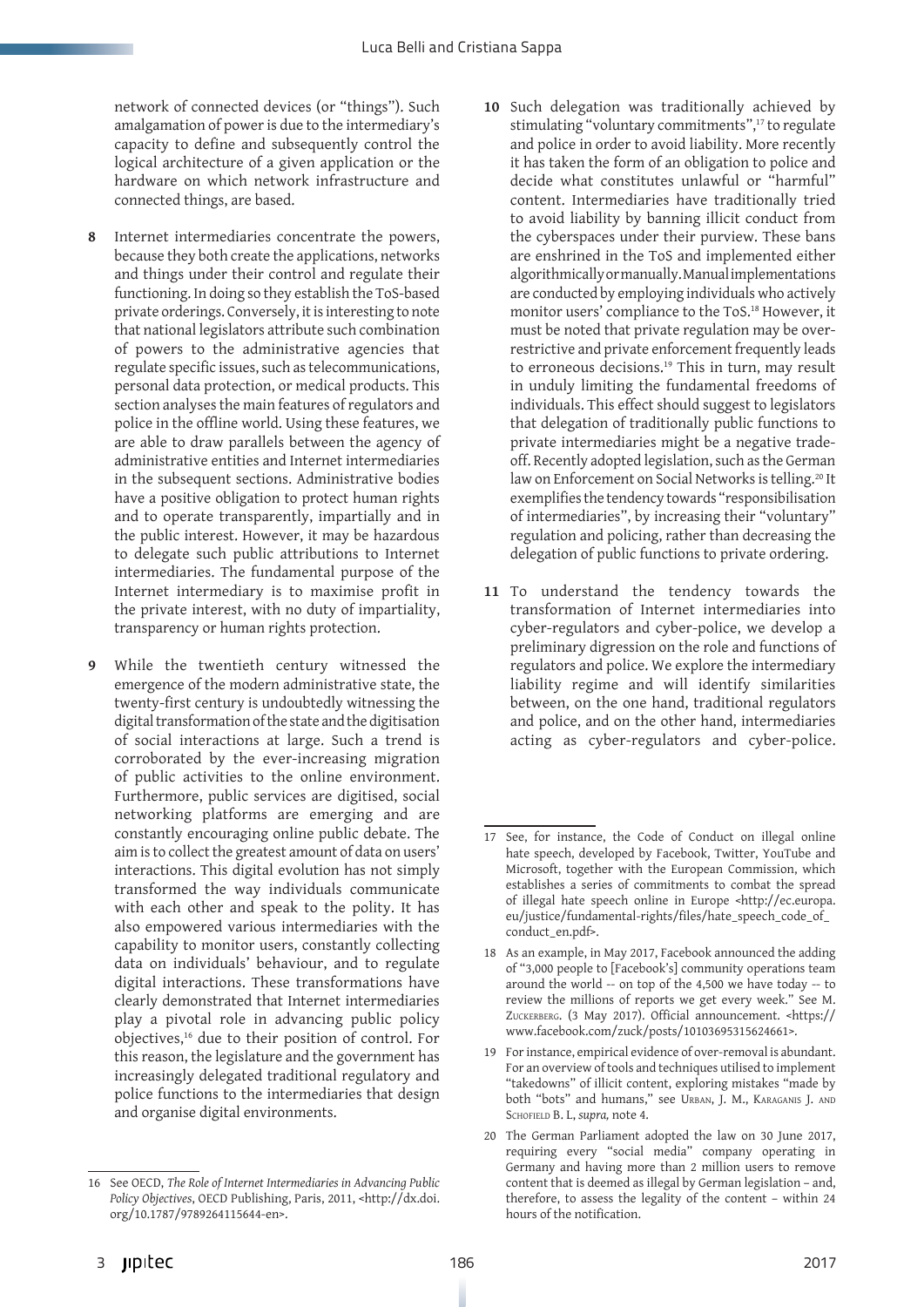network of connected devices (or "things"). Such amalgamation of power is due to the intermediary's capacity to define and subsequently control the logical architecture of a given application or the hardware on which network infrastructure and connected things, are based.

- **8** Internet intermediaries concentrate the powers, because they both create the applications, networks and things under their control and regulate their functioning. In doing so they establish the ToS-based private orderings. Conversely, it is interesting to note that national legislators attribute such combination of powers to the administrative agencies that regulate specific issues, such as telecommunications, personal data protection, or medical products. This section analyses the main features of regulators and police in the offline world. Using these features, we are able to draw parallels between the agency of administrative entities and Internet intermediaries in the subsequent sections. Administrative bodies have a positive obligation to protect human rights and to operate transparently, impartially and in the public interest. However, it may be hazardous to delegate such public attributions to Internet intermediaries. The fundamental purpose of the Internet intermediary is to maximise profit in the private interest, with no duty of impartiality, transparency or human rights protection.
- **9** While the twentieth century witnessed the emergence of the modern administrative state, the twenty-first century is undoubtedly witnessing the digital transformation of the state and the digitisation of social interactions at large. Such a trend is corroborated by the ever-increasing migration of public activities to the online environment. Furthermore, public services are digitised, social networking platforms are emerging and are constantly encouraging online public debate. The aim is to collect the greatest amount of data on users' interactions. This digital evolution has not simply transformed the way individuals communicate with each other and speak to the polity. It has also empowered various intermediaries with the capability to monitor users, constantly collecting data on individuals' behaviour, and to regulate digital interactions. These transformations have clearly demonstrated that Internet intermediaries play a pivotal role in advancing public policy objectives,16 due to their position of control. For this reason, the legislature and the government has increasingly delegated traditional regulatory and police functions to the intermediaries that design and organise digital environments.
- **10** Such delegation was traditionally achieved by stimulating "voluntary commitments",<sup>17</sup> to regulate and police in order to avoid liability. More recently it has taken the form of an obligation to police and decide what constitutes unlawful or "harmful" content. Intermediaries have traditionally tried to avoid liability by banning illicit conduct from the cyberspaces under their purview. These bans are enshrined in the ToS and implemented either algorithmically or manually. Manual implementations are conducted by employing individuals who actively monitor users' compliance to the ToS.18 However, it must be noted that private regulation may be overrestrictive and private enforcement frequently leads to erroneous decisions.<sup>19</sup> This in turn, may result in unduly limiting the fundamental freedoms of individuals. This effect should suggest to legislators that delegation of traditionally public functions to private intermediaries might be a negative tradeoff. Recently adopted legislation, such as the German law on Enforcement on Social Networks is telling.<sup>20</sup> It exemplifies the tendency towards "responsibilisation of intermediaries", by increasing their "voluntary" regulation and policing, rather than decreasing the delegation of public functions to private ordering.
- **11** To understand the tendency towards the transformation of Internet intermediaries into cyber-regulators and cyber-police, we develop a preliminary digression on the role and functions of regulators and police. We explore the intermediary liability regime and will identify similarities between, on the one hand, traditional regulators and police, and on the other hand, intermediaries acting as cyber-regulators and cyber-police.

<sup>16</sup> See OECD, *The Role of Internet Intermediaries in Advancing Public Policy Objectives*, OECD Publishing, Paris, 2011, <http://dx.doi. org/10.1787/9789264115644-en>.

<sup>17</sup> See, for instance, the Code of Conduct on illegal online hate speech, developed by Facebook, Twitter, YouTube and Microsoft, together with the European Commission, which establishes a series of commitments to combat the spread of illegal hate speech online in Europe <http://ec.europa. eu/justice/fundamental-rights/files/hate\_speech\_code\_of\_ conduct\_en.pdf>.

<sup>18</sup> As an example, in May 2017, Facebook announced the adding of "3,000 people to [Facebook's] community operations team around the world -- on top of the 4,500 we have today -- to review the millions of reports we get every week." See M. Zuckerberg. (3 May 2017). Official announcement. <https:// www.facebook.com/zuck/posts/10103695315624661>.

<sup>19</sup> For instance, empirical evidence of over-removal is abundant. For an overview of tools and techniques utilised to implement "takedowns" of illicit content, exploring mistakes "made by both "bots" and humans," see Urban, J. M., Karaganis J. and Schofield B. L, *supra,* note 4.

<sup>20</sup> The German Parliament adopted the law on 30 June 2017, requiring every "social media" company operating in Germany and having more than 2 million users to remove content that is deemed as illegal by German legislation – and, therefore, to assess the legality of the content – within 24 hours of the notification.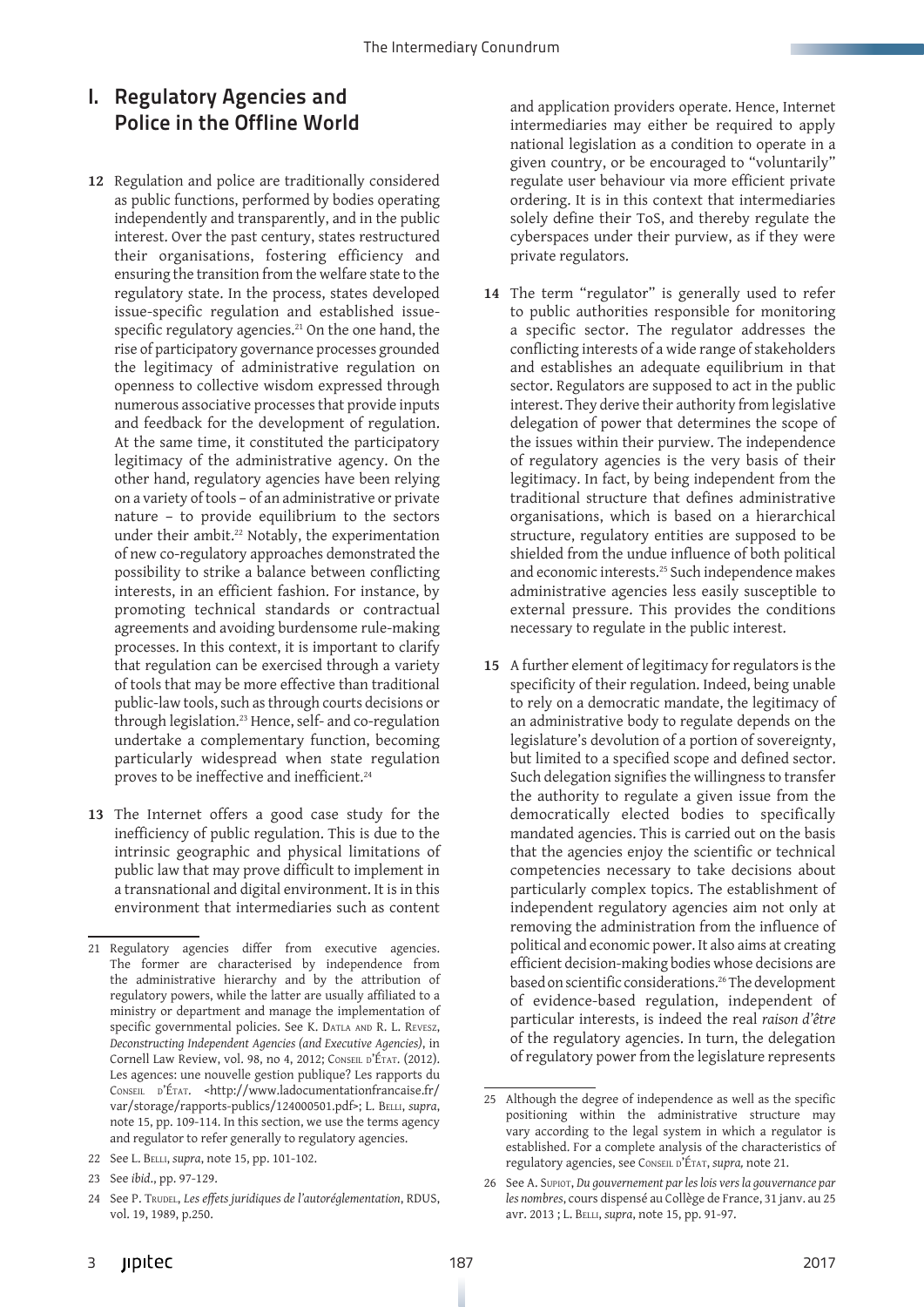# I. Regulatory Agencies and Police in the Offline World

- **12** Regulation and police are traditionally considered as public functions, performed by bodies operating independently and transparently, and in the public interest. Over the past century, states restructured their organisations, fostering efficiency and ensuring the transition from the welfare state to the regulatory state. In the process, states developed issue-specific regulation and established issuespecific regulatory agencies.<sup>21</sup> On the one hand, the rise of participatory governance processes grounded the legitimacy of administrative regulation on openness to collective wisdom expressed through numerous associative processes that provide inputs and feedback for the development of regulation. At the same time, it constituted the participatory legitimacy of the administrative agency. On the other hand, regulatory agencies have been relying on a variety of tools – of an administrative or private nature – to provide equilibrium to the sectors under their ambit.<sup>22</sup> Notably, the experimentation of new co-regulatory approaches demonstrated the possibility to strike a balance between conflicting interests, in an efficient fashion. For instance, by promoting technical standards or contractual agreements and avoiding burdensome rule-making processes. In this context, it is important to clarify that regulation can be exercised through a variety of tools that may be more effective than traditional public-law tools, such as through courts decisions or through legislation.23 Hence, self- and co-regulation undertake a complementary function, becoming particularly widespread when state regulation proves to be ineffective and inefficient.<sup>24</sup>
- **13** The Internet offers a good case study for the inefficiency of public regulation. This is due to the intrinsic geographic and physical limitations of public law that may prove difficult to implement in a transnational and digital environment. It is in this environment that intermediaries such as content

- 22 See L. Belli, *supra*, note 15, pp. 101-102.
- 23 See *ibid*., pp. 97-129.

and application providers operate. Hence, Internet intermediaries may either be required to apply national legislation as a condition to operate in a given country, or be encouraged to "voluntarily" regulate user behaviour via more efficient private ordering. It is in this context that intermediaries solely define their ToS, and thereby regulate the cyberspaces under their purview, as if they were private regulators.

- **14** The term "regulator" is generally used to refer to public authorities responsible for monitoring a specific sector. The regulator addresses the conflicting interests of a wide range of stakeholders and establishes an adequate equilibrium in that sector. Regulators are supposed to act in the public interest. They derive their authority from legislative delegation of power that determines the scope of the issues within their purview. The independence of regulatory agencies is the very basis of their legitimacy. In fact, by being independent from the traditional structure that defines administrative organisations, which is based on a hierarchical structure, regulatory entities are supposed to be shielded from the undue influence of both political and economic interests.25 Such independence makes administrative agencies less easily susceptible to external pressure. This provides the conditions necessary to regulate in the public interest.
- **15** A further element of legitimacy for regulators is the specificity of their regulation. Indeed, being unable to rely on a democratic mandate, the legitimacy of an administrative body to regulate depends on the legislature's devolution of a portion of sovereignty, but limited to a specified scope and defined sector. Such delegation signifies the willingness to transfer the authority to regulate a given issue from the democratically elected bodies to specifically mandated agencies. This is carried out on the basis that the agencies enjoy the scientific or technical competencies necessary to take decisions about particularly complex topics. The establishment of independent regulatory agencies aim not only at removing the administration from the influence of political and economic power. It also aims at creating efficient decision-making bodies whose decisions are based on scientific considerations.26 The development of evidence-based regulation, independent of particular interests, is indeed the real *raison d'être* of the regulatory agencies. In turn, the delegation of regulatory power from the legislature represents

<sup>21</sup> Regulatory agencies differ from executive agencies. The former are characterised by independence from the administrative hierarchy and by the attribution of regulatory powers, while the latter are usually affiliated to a ministry or department and manage the implementation of specific governmental policies. See K. DATLA AND R. L. REVESZ, *Deconstructing Independent Agencies (and Executive Agencies)*, in Cornell Law Review, vol. 98, no 4, 2012; CONSEIL D'ÉTAT. (2012). Les agences: une nouvelle gestion publique? Les rapports du CONSEIL D'ÉTAT. <http://www.ladocumentationfrancaise.fr/ var/storage/rapports-publics/124000501.pdf>; L. Belli, *supra*, note 15, pp. 109-114. In this section, we use the terms agency and regulator to refer generally to regulatory agencies.

<sup>24</sup> See P. TRUDEL, Les effets juridiques de l'autoréglementation, RDUS, vol. 19, 1989, p.250.

<sup>25</sup> Although the degree of independence as well as the specific positioning within the administrative structure may vary according to the legal system in which a regulator is established. For a complete analysis of the characteristics of regulatory agencies, see Conseil d'État, *supra,* note 21.

<sup>26</sup> See A. Supiot, *Du gouvernement par les lois vers la gouvernance par les nombres*, cours dispensé au Collège de France, 31 janv. au 25 avr. 2013 ; L. Belli, *supra*, note 15, pp. 91-97.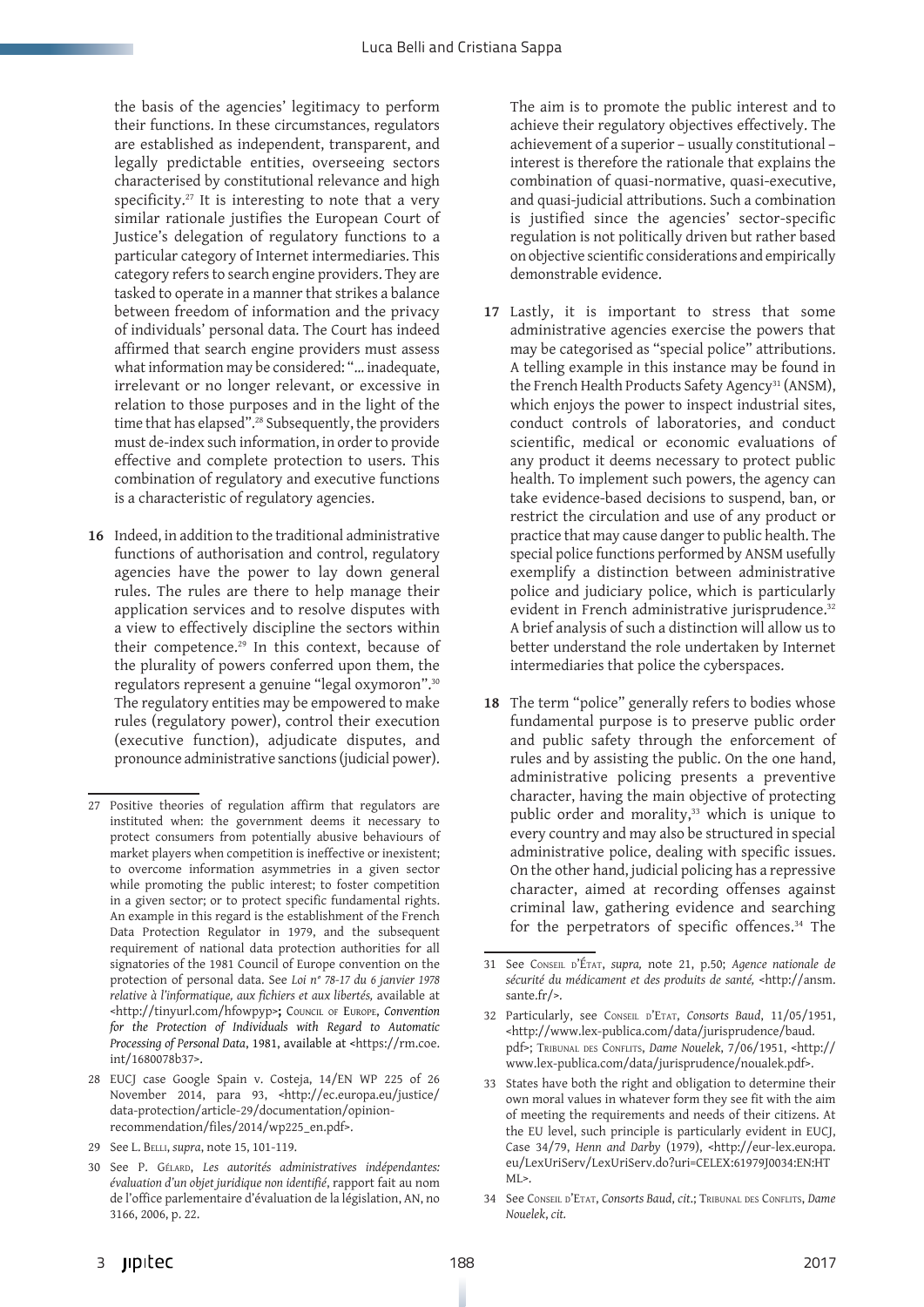the basis of the agencies' legitimacy to perform their functions. In these circumstances, regulators are established as independent, transparent, and legally predictable entities, overseeing sectors characterised by constitutional relevance and high specificity. $27$  It is interesting to note that a very similar rationale justifies the European Court of Justice's delegation of regulatory functions to a particular category of Internet intermediaries. This category refers to search engine providers. They are tasked to operate in a manner that strikes a balance between freedom of information and the privacy of individuals' personal data. The Court has indeed affirmed that search engine providers must assess what information may be considered: "… inadequate, irrelevant or no longer relevant, or excessive in relation to those purposes and in the light of the time that has elapsed".<sup>28</sup> Subsequently, the providers must de-index such information, in order to provide effective and complete protection to users. This combination of regulatory and executive functions is a characteristic of regulatory agencies.

**16** Indeed, in addition to the traditional administrative functions of authorisation and control, regulatory agencies have the power to lay down general rules. The rules are there to help manage their application services and to resolve disputes with a view to effectively discipline the sectors within their competence.29 In this context, because of the plurality of powers conferred upon them, the regulators represent a genuine "legal oxymoron".30 The regulatory entities may be empowered to make rules (regulatory power), control their execution (executive function), adjudicate disputes, and pronounce administrative sanctions (judicial power).

29 See L. Belli, *supra*, note 15, 101-119.

The aim is to promote the public interest and to achieve their regulatory objectives effectively. The achievement of a superior – usually constitutional – interest is therefore the rationale that explains the combination of quasi-normative, quasi-executive, and quasi-judicial attributions. Such a combination is justified since the agencies' sector-specific regulation is not politically driven but rather based on objective scientific considerations and empirically demonstrable evidence.

- **17** Lastly, it is important to stress that some administrative agencies exercise the powers that may be categorised as "special police" attributions. A telling example in this instance may be found in the French Health Products Safety Agency<sup>31</sup> (ANSM), which enjoys the power to inspect industrial sites, conduct controls of laboratories, and conduct scientific, medical or economic evaluations of any product it deems necessary to protect public health. To implement such powers, the agency can take evidence-based decisions to suspend, ban, or restrict the circulation and use of any product or practice that may cause danger to public health. The special police functions performed by ANSM usefully exemplify a distinction between administrative police and judiciary police, which is particularly evident in French administrative jurisprudence.<sup>32</sup> A brief analysis of such a distinction will allow us to better understand the role undertaken by Internet intermediaries that police the cyberspaces.
- 18 The term "police" generally refers to bodies whose fundamental purpose is to preserve public order and public safety through the enforcement of rules and by assisting the public. On the one hand, administrative policing presents a preventive character, having the main objective of protecting public order and morality,<sup>33</sup> which is unique to every country and may also be structured in special administrative police, dealing with specific issues. On the other hand, judicial policing has a repressive character, aimed at recording offenses against criminal law, gathering evidence and searching for the perpetrators of specific offences.34 The

<sup>27</sup> Positive theories of regulation affirm that regulators are instituted when: the government deems it necessary to protect consumers from potentially abusive behaviours of market players when competition is ineffective or inexistent; to overcome information asymmetries in a given sector while promoting the public interest; to foster competition in a given sector; or to protect specific fundamental rights. An example in this regard is the establishment of the French Data Protection Regulator in 1979, and the subsequent requirement of national data protection authorities for all signatories of the 1981 Council of Europe convention on the protection of personal data. See *Loi n° 78-17 du 6 janvier 1978 relative à l'informatique, aux fichiers et aux libertés,* available at <http://tinyurl.com/hfowpyp>**;** Council of Europe, *Convention for the Protection of Individuals with Regard to Automatic Processing of Personal Data*, 1981, available at <https://rm.coe. int/1680078b37>.

<sup>28</sup> EUCJ case Google Spain v. Costeja, 14/EN WP 225 of 26 November 2014, para 93, <http://ec.europa.eu/justice/ data-protection/article-29/documentation/opinionrecommendation/files/2014/wp225\_en.pdf>.

<sup>30</sup> See P. Gélard, *Les autorités administratives indépendantes: évaluation d'un objet juridique non identifié*, rapport fait au nom de l'office parlementaire d'évaluation de la législation, AN, no 3166, 2006, p. 22.

<sup>31</sup> See Conseil d'État, *supra,* note 21, p.50; *Agence nationale de sécurité du médicament et des produits de santé,* <http://ansm. sante.fr/>.

<sup>32</sup> Particularly, see Conseil d'Etat, *Consorts Baud*, 11/05/1951, <http://www.lex-publica.com/data/jurisprudence/baud. pdf>; Tribunal des Conflits, *Dame Nouelek*, 7/06/1951, <http:// www.lex-publica.com/data/jurisprudence/noualek.pdf>.

<sup>33</sup> States have both the right and obligation to determine their own moral values in whatever form they see fit with the aim of meeting the requirements and needs of their citizens. At the EU level, such principle is particularly evident in EUCJ, Case 34/79, *Henn and Darby* (1979), <http://eur-lex.europa. eu/LexUriServ/LexUriServ.do?uri=CELEX:61979J0034:EN:HT  $MI$ 

<sup>34</sup> See Conseil d'Etat, *Consorts Baud*, *cit*.; Tribunal des Conflits, *Dame Nouelek*, *cit.*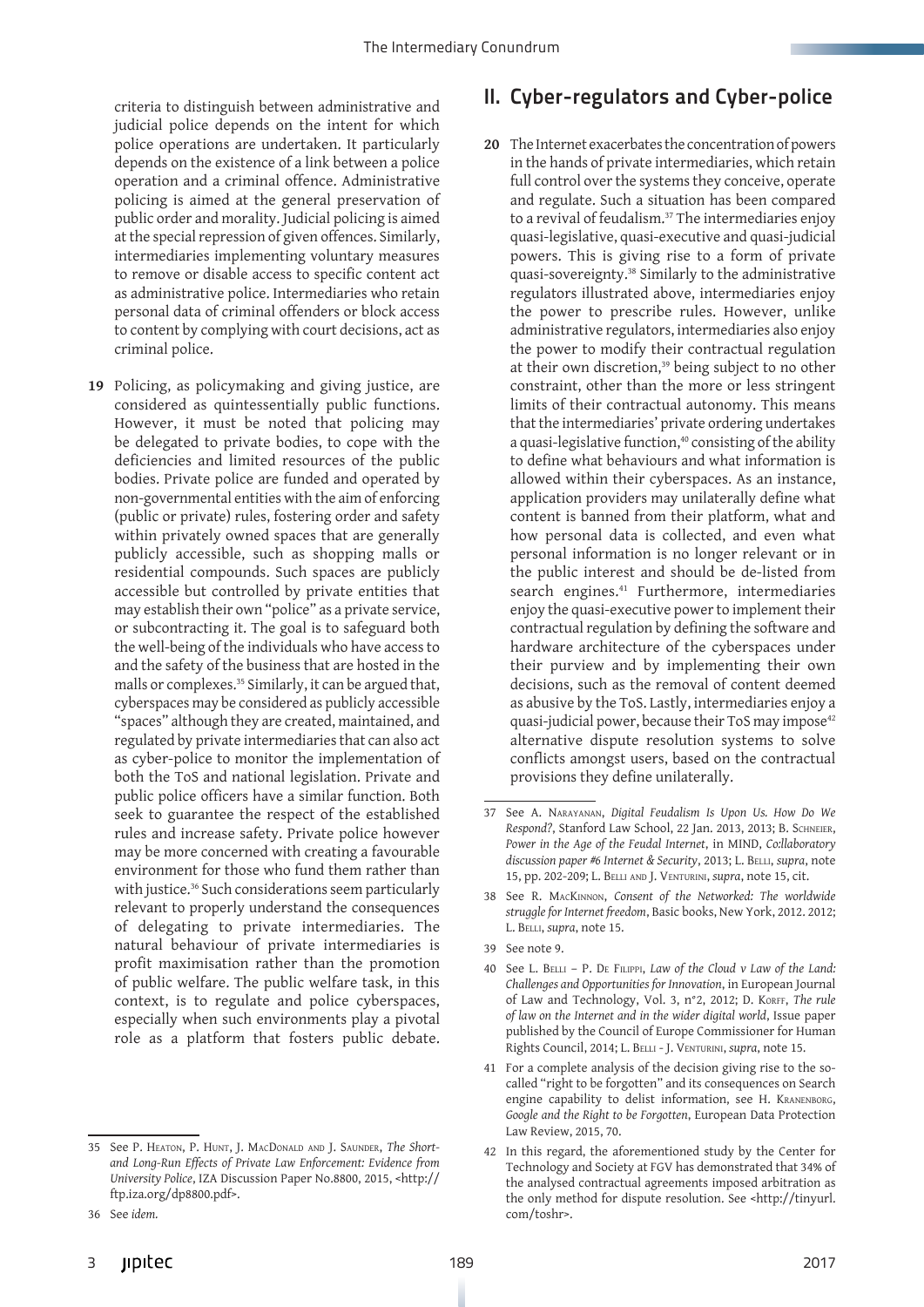criteria to distinguish between administrative and judicial police depends on the intent for which police operations are undertaken. It particularly depends on the existence of a link between a police operation and a criminal offence. Administrative policing is aimed at the general preservation of public order and morality. Judicial policing is aimed at the special repression of given offences. Similarly, intermediaries implementing voluntary measures to remove or disable access to specific content act as administrative police. Intermediaries who retain personal data of criminal offenders or block access to content by complying with court decisions, act as criminal police.

**19** Policing, as policymaking and giving justice, are considered as quintessentially public functions. However, it must be noted that policing may be delegated to private bodies, to cope with the deficiencies and limited resources of the public bodies. Private police are funded and operated by non-governmental entities with the aim of enforcing (public or private) rules, fostering order and safety within privately owned spaces that are generally publicly accessible, such as shopping malls or residential compounds. Such spaces are publicly accessible but controlled by private entities that may establish their own "police" as a private service, or subcontracting it. The goal is to safeguard both the well-being of the individuals who have access to and the safety of the business that are hosted in the malls or complexes.35 Similarly, it can be argued that, cyberspaces may be considered as publicly accessible "spaces" although they are created, maintained, and regulated by private intermediaries that can also act as cyber-police to monitor the implementation of both the ToS and national legislation. Private and public police officers have a similar function. Both seek to guarantee the respect of the established rules and increase safety. Private police however may be more concerned with creating a favourable environment for those who fund them rather than with justice.<sup>36</sup> Such considerations seem particularly relevant to properly understand the consequences of delegating to private intermediaries. The natural behaviour of private intermediaries is profit maximisation rather than the promotion of public welfare. The public welfare task, in this context, is to regulate and police cyberspaces, especially when such environments play a pivotal role as a platform that fosters public debate.

## II. Cyber-regulators and Cyber-police

**20** The Internet exacerbates the concentration of powers in the hands of private intermediaries, which retain full control over the systems they conceive, operate and regulate. Such a situation has been compared to a revival of feudalism.37 The intermediaries enjoy quasi-legislative, quasi-executive and quasi-judicial powers. This is giving rise to a form of private quasi-sovereignty.38 Similarly to the administrative regulators illustrated above, intermediaries enjoy the power to prescribe rules. However, unlike administrative regulators, intermediaries also enjoy the power to modify their contractual regulation at their own discretion,<sup>39</sup> being subject to no other constraint, other than the more or less stringent limits of their contractual autonomy. This means that the intermediaries' private ordering undertakes a quasi-legislative function,<sup>40</sup> consisting of the ability to define what behaviours and what information is allowed within their cyberspaces. As an instance, application providers may unilaterally define what content is banned from their platform, what and how personal data is collected, and even what personal information is no longer relevant or in the public interest and should be de-listed from search engines.<sup>41</sup> Furthermore, intermediaries enjoy the quasi-executive power to implement their contractual regulation by defining the software and hardware architecture of the cyberspaces under their purview and by implementing their own decisions, such as the removal of content deemed as abusive by the ToS. Lastly, intermediaries enjoy a quasi-judicial power, because their ToS may impose<sup>42</sup> alternative dispute resolution systems to solve conflicts amongst users, based on the contractual provisions they define unilaterally.

<sup>35</sup> See P. Heaton, P. Hunt, J. MacDonald and J. Saunder, *The Shortand Long-Run Effects of Private Law Enforcement: Evidence from University Police*, IZA Discussion Paper No.8800, 2015, <http:// ftp.iza.org/dp8800.pdf>.

<sup>36</sup> See *idem.*

<sup>37</sup> See A. Narayanan, *Digital Feudalism Is Upon Us. How Do We Respond?*, Stanford Law School, 22 Jan. 2013, 2013; B. Schneier, *Power in the Age of the Feudal Internet*, in MIND, *Co:llaboratory*  discussion paper #6 Internet & Security, 2013; L. BELLI, *supra*, note 15, pp. 202-209; L. Belli and J. Venturini, *supra*, note 15, cit.

<sup>38</sup> See R. MacKinnon, *Consent of the Networked: The worldwide struggle for Internet freedom*, Basic books, New York, 2012. 2012; L. Belli, *supra*, note 15.

<sup>39</sup> See note 9.

<sup>40</sup> See L. Belli – P. De Filippi, *Law of the Cloud v Law of the Land: Challenges and Opportunities for Innovation*, in European Journal of Law and Technology, Vol. 3, n°2, 2012; D. Korff, The rule *of law on the Internet and in the wider digital world*, Issue paper published by the Council of Europe Commissioner for Human Rights Council, 2014; L. Belli - J. Venturini, *supra*, note 15.

<sup>41</sup> For a complete analysis of the decision giving rise to the socalled "right to be forgotten" and its consequences on Search engine capability to delist information, see H. Kranenborg, *Google and the Right to be Forgotten*, European Data Protection Law Review, 2015, 70.

<sup>42</sup> In this regard, the aforementioned study by the Center for Technology and Society at FGV has demonstrated that 34% of the analysed contractual agreements imposed arbitration as the only method for dispute resolution. See <http://tinyurl. com/toshr>.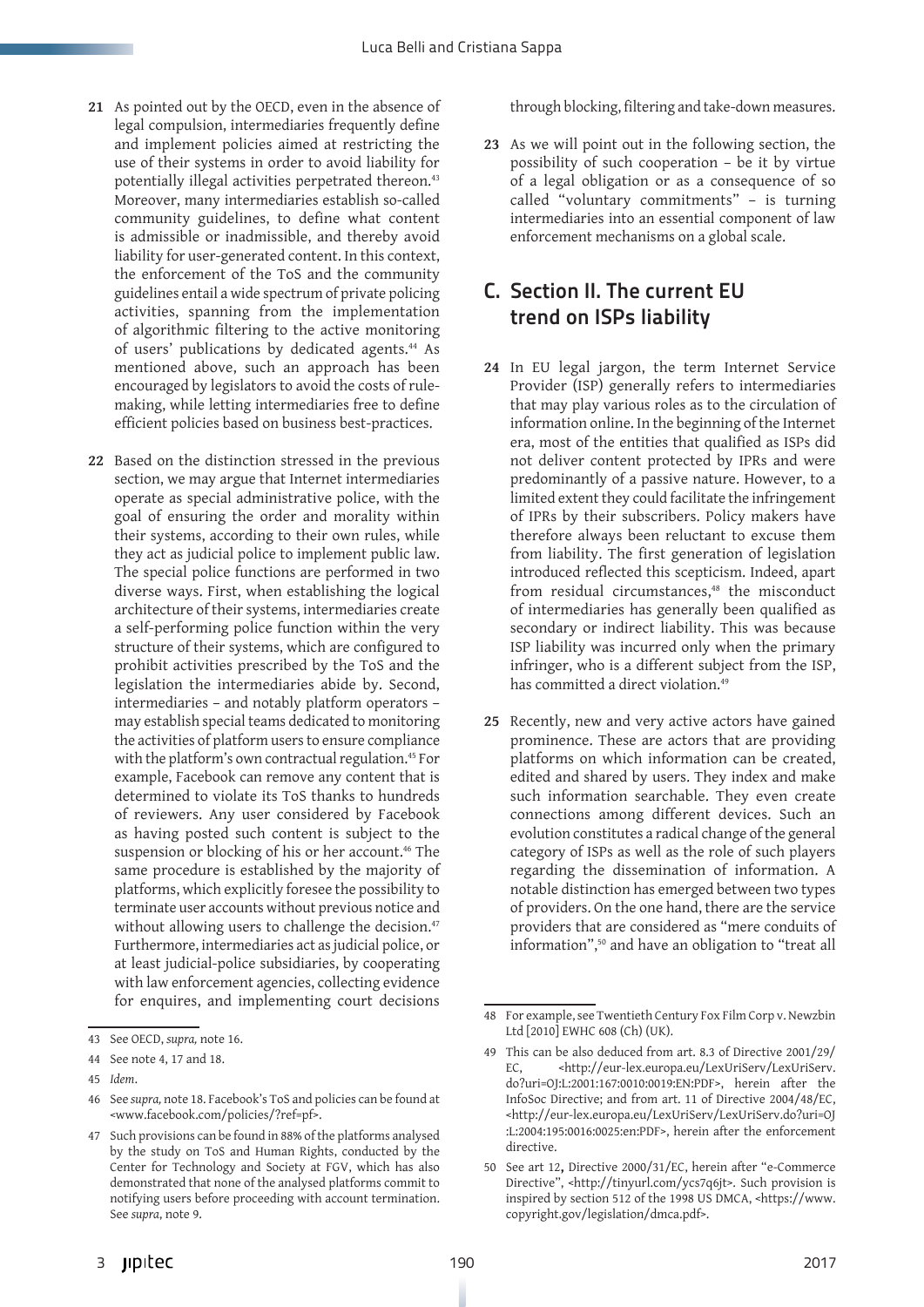- **21** As pointed out by the OECD, even in the absence of legal compulsion, intermediaries frequently define and implement policies aimed at restricting the use of their systems in order to avoid liability for potentially illegal activities perpetrated thereon.<sup>43</sup> Moreover, many intermediaries establish so-called community guidelines, to define what content is admissible or inadmissible, and thereby avoid liability for user-generated content. In this context, the enforcement of the ToS and the community guidelines entail a wide spectrum of private policing activities, spanning from the implementation of algorithmic filtering to the active monitoring of users' publications by dedicated agents.44 As mentioned above, such an approach has been encouraged by legislators to avoid the costs of rulemaking, while letting intermediaries free to define efficient policies based on business best-practices.
- **22** Based on the distinction stressed in the previous section, we may argue that Internet intermediaries operate as special administrative police, with the goal of ensuring the order and morality within their systems, according to their own rules, while they act as judicial police to implement public law. The special police functions are performed in two diverse ways. First, when establishing the logical architecture of their systems, intermediaries create a self-performing police function within the very structure of their systems, which are configured to prohibit activities prescribed by the ToS and the legislation the intermediaries abide by. Second, intermediaries – and notably platform operators – may establish special teams dedicated to monitoring the activities of platform users to ensure compliance with the platform's own contractual regulation.<sup>45</sup> For example, Facebook can remove any content that is determined to violate its ToS thanks to hundreds of reviewers. Any user considered by Facebook as having posted such content is subject to the suspension or blocking of his or her account.<sup>46</sup> The same procedure is established by the majority of platforms, which explicitly foresee the possibility to terminate user accounts without previous notice and without allowing users to challenge the decision.<sup>47</sup> Furthermore, intermediaries act as judicial police, or at least judicial-police subsidiaries, by cooperating with law enforcement agencies, collecting evidence for enquires, and implementing court decisions

through blocking, filtering and take-down measures.

**23** As we will point out in the following section, the possibility of such cooperation – be it by virtue of a legal obligation or as a consequence of so called "voluntary commitments" – is turning intermediaries into an essential component of law enforcement mechanisms on a global scale.

## C. Section II. The current EU trend on ISPs liability

- **24** In EU legal jargon, the term Internet Service Provider (ISP) generally refers to intermediaries that may play various roles as to the circulation of information online. In the beginning of the Internet era, most of the entities that qualified as ISPs did not deliver content protected by IPRs and were predominantly of a passive nature. However, to a limited extent they could facilitate the infringement of IPRs by their subscribers. Policy makers have therefore always been reluctant to excuse them from liability. The first generation of legislation introduced reflected this scepticism. Indeed, apart from residual circumstances,<sup>48</sup> the misconduct of intermediaries has generally been qualified as secondary or indirect liability. This was because ISP liability was incurred only when the primary infringer, who is a different subject from the ISP, has committed a direct violation.<sup>49</sup>
- **25** Recently, new and very active actors have gained prominence. These are actors that are providing platforms on which information can be created, edited and shared by users. They index and make such information searchable. They even create connections among different devices. Such an evolution constitutes a radical change of the general category of ISPs as well as the role of such players regarding the dissemination of information. A notable distinction has emerged between two types of providers. On the one hand, there are the service providers that are considered as "mere conduits of information",<sup>50</sup> and have an obligation to "treat all

<sup>43</sup> See OECD, *supra,* note 16.

<sup>44</sup> See note 4, 17 and 18.

<sup>45</sup> *Idem*.

<sup>46</sup> See *supra,* note 18. Facebook's ToS and policies can be found at <www.facebook.com/policies/?ref=pf>.

<sup>47</sup> Such provisions can be found in 88% of the platforms analysed by the study on ToS and Human Rights, conducted by the Center for Technology and Society at FGV, which has also demonstrated that none of the analysed platforms commit to notifying users before proceeding with account termination. See *supra*, note 9.

<sup>48</sup> For example, see Twentieth Century Fox Film Corp v. Newzbin Ltd [2010] EWHC 608 (Ch) (UK).

<sup>49</sup> This can be also deduced from art. 8.3 of Directive 2001/29/ EC, <http://eur-lex.europa.eu/LexUriServ/LexUriServ. do?uri=OJ:L:2001:167:0010:0019:EN:PDF>, herein after the InfoSoc Directive; and from art. 11 of Directive 2004/48/EC, <http://eur-lex.europa.eu/LexUriServ/LexUriServ.do?uri=OJ :L:2004:195:0016:0025:en:PDF>, herein after the enforcement directive.

<sup>50</sup> See art 12**,** Directive 2000/31/EC, herein after "e-Commerce Directive", <http://tinyurl.com/ycs7q6jt>. Such provision is inspired by section 512 of the 1998 US DMCA, <https://www. copyright.gov/legislation/dmca.pdf>.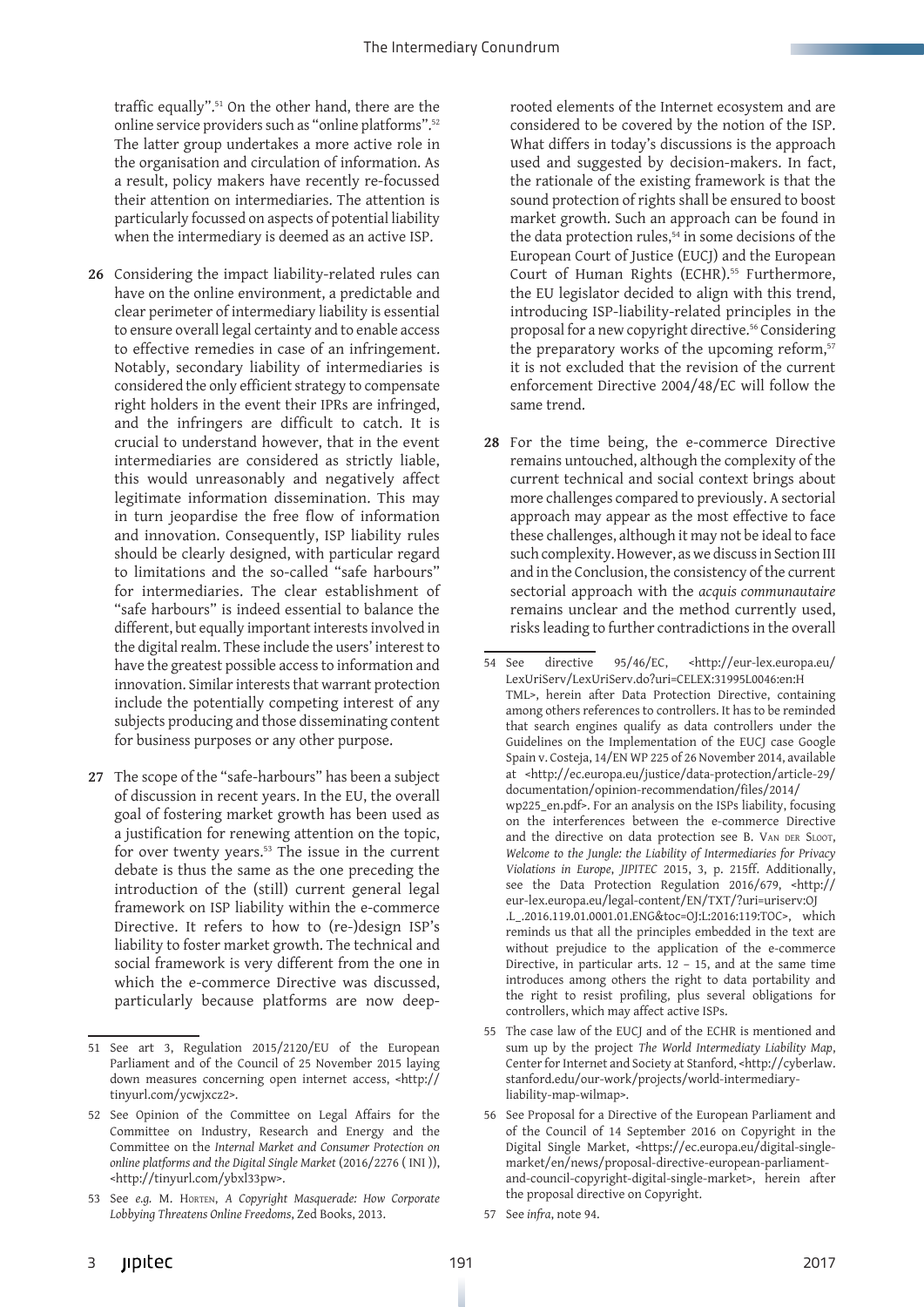traffic equally".<sup>51</sup> On the other hand, there are the online service providers such as "online platforms".52 The latter group undertakes a more active role in the organisation and circulation of information. As a result, policy makers have recently re-focussed their attention on intermediaries. The attention is particularly focussed on aspects of potential liability when the intermediary is deemed as an active ISP.

- **26** Considering the impact liability-related rules can have on the online environment, a predictable and clear perimeter of intermediary liability is essential to ensure overall legal certainty and to enable access to effective remedies in case of an infringement. Notably, secondary liability of intermediaries is considered the only efficient strategy to compensate right holders in the event their IPRs are infringed, and the infringers are difficult to catch. It is crucial to understand however, that in the event intermediaries are considered as strictly liable, this would unreasonably and negatively affect legitimate information dissemination. This may in turn jeopardise the free flow of information and innovation. Consequently, ISP liability rules should be clearly designed, with particular regard to limitations and the so-called "safe harbours" for intermediaries. The clear establishment of "safe harbours" is indeed essential to balance the different, but equally important interests involved in the digital realm. These include the users' interest to have the greatest possible access to information and innovation. Similar interests that warrant protection include the potentially competing interest of any subjects producing and those disseminating content for business purposes or any other purpose.
- **27** The scope of the "safe-harbours" has been a subject of discussion in recent years. In the EU, the overall goal of fostering market growth has been used as a justification for renewing attention on the topic, for over twenty years.53 The issue in the current debate is thus the same as the one preceding the introduction of the (still) current general legal framework on ISP liability within the e-commerce Directive. It refers to how to (re-)design ISP's liability to foster market growth. The technical and social framework is very different from the one in which the e-commerce Directive was discussed, particularly because platforms are now deep-

rooted elements of the Internet ecosystem and are considered to be covered by the notion of the ISP. What differs in today's discussions is the approach used and suggested by decision-makers. In fact, the rationale of the existing framework is that the sound protection of rights shall be ensured to boost market growth. Such an approach can be found in the data protection rules,<sup>54</sup> in some decisions of the European Court of Justice (EUCJ) and the European Court of Human Rights (ECHR).<sup>55</sup> Furthermore, the EU legislator decided to align with this trend, introducing ISP-liability-related principles in the proposal for a new copyright directive.<sup>56</sup> Considering the preparatory works of the upcoming reform,<sup>57</sup> it is not excluded that the revision of the current enforcement Directive 2004/48/EC will follow the same trend.

**28** For the time being, the e-commerce Directive remains untouched, although the complexity of the current technical and social context brings about more challenges compared to previously. A sectorial approach may appear as the most effective to face these challenges, although it may not be ideal to face such complexity. However, as we discuss in Section III and in the Conclusion, the consistency of the current sectorial approach with the *acquis communautaire* remains unclear and the method currently used, risks leading to further contradictions in the overall

- 55 The case law of the EUCJ and of the ECHR is mentioned and sum up by the project *The World Intermediaty Liability Map*, Center for Internet and Society at Stanford, <http://cyberlaw. stanford.edu/our-work/projects/world-intermediaryliability-map-wilmap>.
- 56 See Proposal for a Directive of the European Parliament and of the Council of 14 September 2016 on Copyright in the Digital Single Market, <https://ec.europa.eu/digital-singlemarket/en/news/proposal-directive-european-parliamentand-council-copyright-digital-single-market>, herein after the proposal directive on Copyright.
- 57 See *infra*, note 94.

<sup>51</sup> See art 3, Regulation 2015/2120/EU of the European Parliament and of the Council of 25 November 2015 laying down measures concerning open internet access, <http:// tinyurl.com/ycwjxcz2>.

<sup>52</sup> See Opinion of the Committee on Legal Affairs for the Committee on Industry, Research and Energy and the Committee on the *Internal Market and Consumer Protection on online platforms and the Digital Single Market* (2016/2276 ( INI )), <http://tinyurl.com/ybxl33pw>.

<sup>53</sup> See *e.g.* M. Horten, *A Copyright Masquerade: How Corporate Lobbying Threatens Online Freedoms*, Zed Books, 2013.

<sup>54</sup> See directive 95/46/EC, <http://eur-lex.europa.eu/ LexUriServ/LexUriServ.do?uri=CELEX:31995L0046:en:H TML>, herein after Data Protection Directive, containing among others references to controllers. It has to be reminded that search engines qualify as data controllers under the Guidelines on the Implementation of the EUCJ case Google Spain v. Costeja, 14/EN WP 225 of 26 November 2014, available at <http://ec.europa.eu/justice/data-protection/article-29/ documentation/opinion-recommendation/files/2014/ wp225\_en.pdf>. For an analysis on the ISPs liability, focusing on the interferences between the e-commerce Directive and the directive on data protection see B. VAN DER SLOOT, *Welcome to the Jungle: the Liability of Intermediaries for Privacy Violations in Europe*, *JIPITEC* 2015, 3, p. 215ff. Additionally, see the Data Protection Regulation 2016/679, <http:// eur-lex.europa.eu/legal-content/EN/TXT/?uri=uriserv:OJ .L\_.2016.119.01.0001.01.ENG&toc=OJ:L:2016:119:TOC>, which reminds us that all the principles embedded in the text are without prejudice to the application of the e-commerce Directive, in particular arts.  $12 - 15$ , and at the same time introduces among others the right to data portability and the right to resist profiling, plus several obligations for controllers, which may affect active ISPs.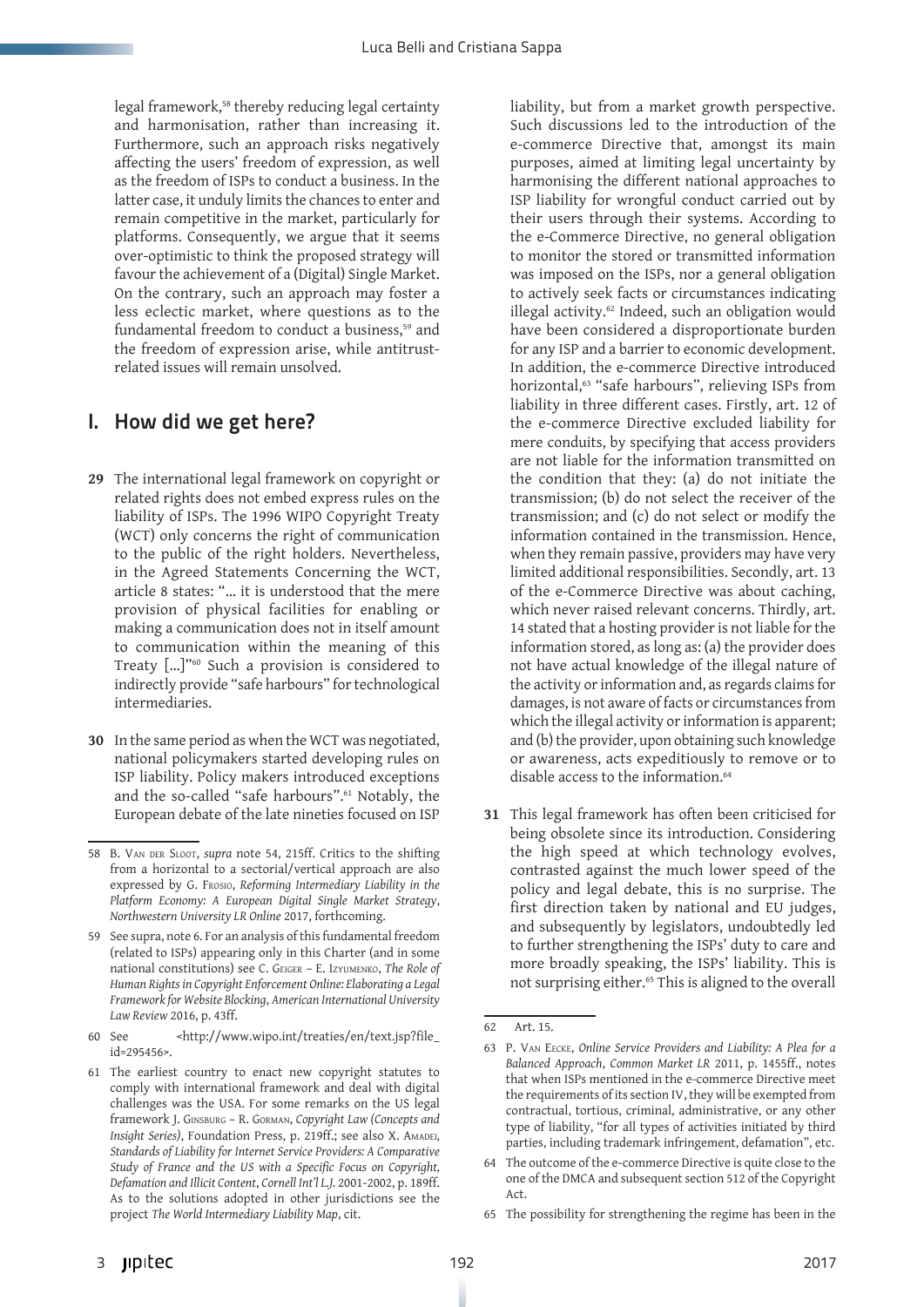legal framework,<sup>58</sup> thereby reducing legal certainty and harmonisation, rather than increasing it. Furthermore, such an approach risks negatively affecting the users' freedom of expression, as well as the freedom of ISPs to conduct a business. In the latter case, it unduly limits the chances to enter and remain competitive in the market, particularly for platforms. Consequently, we argue that it seems over-optimistic to think the proposed strategy will favour the achievement of a (Digital) Single Market. On the contrary, such an approach may foster a less eclectic market, where questions as to the fundamental freedom to conduct a business,<sup>59</sup> and the freedom of expression arise, while antitrustrelated issues will remain unsolved.

## I. How did we get here?

- **29** The international legal framework on copyright or related rights does not embed express rules on the liability of ISPs. The 1996 WIPO Copyright Treaty (WCT) only concerns the right of communication to the public of the right holders. Nevertheless, in the Agreed Statements Concerning the WCT, article 8 states: "… it is understood that the mere provision of physical facilities for enabling or making a communication does not in itself amount to communication within the meaning of this Treaty […]"60 Such a provision is considered to indirectly provide "safe harbours" for technological intermediaries.
- **30** In the same period as when the WCT was negotiated, national policymakers started developing rules on ISP liability. Policy makers introduced exceptions and the so-called "safe harbours".<sup>61</sup> Notably, the European debate of the late nineties focused on ISP

liability, but from a market growth perspective. Such discussions led to the introduction of the e-commerce Directive that, amongst its main purposes, aimed at limiting legal uncertainty by harmonising the different national approaches to ISP liability for wrongful conduct carried out by their users through their systems. According to the e-Commerce Directive, no general obligation to monitor the stored or transmitted information was imposed on the ISPs, nor a general obligation to actively seek facts or circumstances indicating illegal activity.<sup>62</sup> Indeed, such an obligation would have been considered a disproportionate burden for any ISP and a barrier to economic development. In addition, the e-commerce Directive introduced horizontal,<sup>63</sup> "safe harbours", relieving ISPs from liability in three different cases. Firstly, art. 12 of the e-commerce Directive excluded liability for mere conduits, by specifying that access providers are not liable for the information transmitted on the condition that they: (a) do not initiate the transmission; (b) do not select the receiver of the transmission; and (c) do not select or modify the information contained in the transmission. Hence, when they remain passive, providers may have very limited additional responsibilities. Secondly, art. 13 of the e-Commerce Directive was about caching, which never raised relevant concerns. Thirdly, art. 14 stated that a hosting provider is not liable for the information stored, as long as: (a) the provider does not have actual knowledge of the illegal nature of the activity or information and, as regards claims for damages, is not aware of facts or circumstances from which the illegal activity or information is apparent; and (b) the provider, upon obtaining such knowledge or awareness, acts expeditiously to remove or to disable access to the information.<sup>64</sup>

**31** This legal framework has often been criticised for being obsolete since its introduction. Considering the high speed at which technology evolves, contrasted against the much lower speed of the policy and legal debate, this is no surprise. The first direction taken by national and EU judges, and subsequently by legislators, undoubtedly led to further strengthening the ISPs' duty to care and more broadly speaking, the ISPs' liability. This is not surprising either.<sup>65</sup> This is aligned to the overall

<sup>58</sup> B. Van der Sloot, *supra* note 54, 215ff. Critics to the shifting from a horizontal to a sectorial/vertical approach are also expressed by G. Frosio, *Reforming Intermediary Liability in the Platform Economy: A European Digital Single Market Strategy*, *Northwestern University LR Online* 2017, forthcoming.

<sup>59</sup> See supra, note 6. For an analysis of this fundamental freedom (related to ISPs) appearing only in this Charter (and in some national constitutions) see C. Geiger – E. Izyumenko, *The Role of Human Rights in Copyright Enforcement Online: Elaborating a Legal Framework for Website Blocking*, *American International University Law Review* 2016, p. 43ff.

<sup>60</sup> See <http://www.wipo.int/treaties/en/text.jsp?file\_ id=295456>.

<sup>61</sup> The earliest country to enact new copyright statutes to comply with international framework and deal with digital challenges was the USA. For some remarks on the US legal framework J. Ginsburg – R. Gorman, *Copyright Law (Concepts and Insight Series*), Foundation Press, p. 219ff.; see also X. AMADEI, *Standards of Liability for Internet Service Providers: A Comparative Study of France and the US with a Specific Focus on Copyright, Defamation and Illicit Content*, *Cornell Int'l L.J.* 2001-2002, p. 189ff. As to the solutions adopted in other jurisdictions see the project *The World Intermediary Liability Map*, cit.

<sup>62</sup> Art. 15.

<sup>63</sup> P. Van Eecke, *Online Service Providers and Liability: A Plea for a Balanced Approach*, *Common Market LR* 2011, p. 1455ff., notes that when ISPs mentioned in the e-commerce Directive meet the requirements of its section IV, they will be exempted from contractual, tortious, criminal, administrative, or any other type of liability, "for all types of activities initiated by third parties, including trademark infringement, defamation", etc.

<sup>64</sup> The outcome of the e-commerce Directive is quite close to the one of the DMCA and subsequent section 512 of the Copyright Act.

<sup>65</sup> The possibility for strengthening the regime has been in the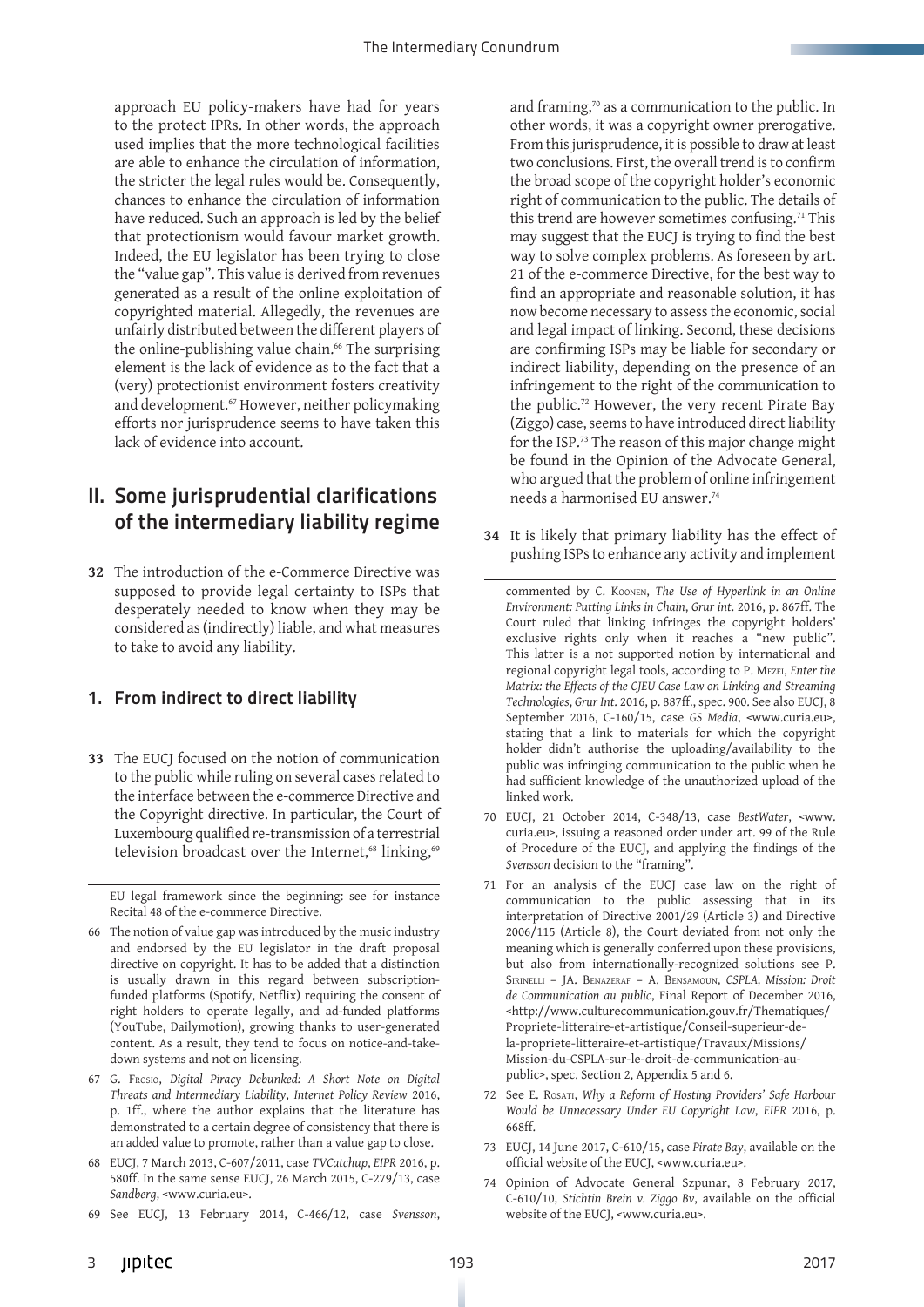approach EU policy-makers have had for years to the protect IPRs. In other words, the approach used implies that the more technological facilities are able to enhance the circulation of information, the stricter the legal rules would be. Consequently, chances to enhance the circulation of information have reduced. Such an approach is led by the belief that protectionism would favour market growth. Indeed, the EU legislator has been trying to close the "value gap". This value is derived from revenues generated as a result of the online exploitation of copyrighted material. Allegedly, the revenues are unfairly distributed between the different players of the online-publishing value chain.<sup>66</sup> The surprising element is the lack of evidence as to the fact that a (very) protectionist environment fosters creativity and development.<sup>67</sup> However, neither policymaking efforts nor jurisprudence seems to have taken this lack of evidence into account.

# II. Some jurisprudential clarifications of the intermediary liability regime

**32** The introduction of the e-Commerce Directive was supposed to provide legal certainty to ISPs that desperately needed to know when they may be considered as (indirectly) liable, and what measures to take to avoid any liability.

#### 1. From indirect to direct liability

**33** The EUCJ focused on the notion of communication to the public while ruling on several cases related to the interface between the e-commerce Directive and the Copyright directive. In particular, the Court of Luxembourg qualified re-transmission of a terrestrial television broadcast over the Internet,<sup>68</sup> linking,<sup>69</sup>

EU legal framework since the beginning: see for instance Recital 48 of the e-commerce Directive.

- 66 The notion of value gap was introduced by the music industry and endorsed by the EU legislator in the draft proposal directive on copyright. It has to be added that a distinction is usually drawn in this regard between subscriptionfunded platforms (Spotify, Netflix) requiring the consent of right holders to operate legally, and ad-funded platforms (YouTube, Dailymotion), growing thanks to user-generated content. As a result, they tend to focus on notice-and-takedown systems and not on licensing.
- 67 G. Frosio, *Digital Piracy Debunked: A Short Note on Digital Threats and Intermediary Liability*, *Internet Policy Review* 2016, p. 1ff., where the author explains that the literature has demonstrated to a certain degree of consistency that there is an added value to promote, rather than a value gap to close.
- 68 EUCJ, 7 March 2013, C-607/2011, case *TVCatchup*, *EIPR* 2016, p. 580ff. In the same sense EUCJ, 26 March 2015, C-279/13, case *Sandberg*, <www.curia.eu>.
- 69 See EUCJ, 13 February 2014, C-466/12, case *Svensson*,

and framing,<sup>70</sup> as a communication to the public. In other words, it was a copyright owner prerogative. From this jurisprudence, it is possible to draw at least two conclusions. First, the overall trend is to confirm the broad scope of the copyright holder's economic right of communication to the public. The details of this trend are however sometimes confusing.<sup>71</sup> This may suggest that the EUCJ is trying to find the best way to solve complex problems. As foreseen by art. 21 of the e-commerce Directive, for the best way to find an appropriate and reasonable solution, it has now become necessary to assess the economic, social and legal impact of linking. Second, these decisions are confirming ISPs may be liable for secondary or indirect liability, depending on the presence of an infringement to the right of the communication to the public.72 However, the very recent Pirate Bay (Ziggo) case, seems to have introduced direct liability for the ISP.73 The reason of this major change might be found in the Opinion of the Advocate General, who argued that the problem of online infringement needs a harmonised EU answer.74

**34** It is likely that primary liability has the effect of pushing ISPs to enhance any activity and implement

commented by C. Koonen, *The Use of Hyperlink in an Online Environment: Putting Links in Chain*, *Grur int*. 2016, p. 867ff. The Court ruled that linking infringes the copyright holders' exclusive rights only when it reaches a "new public". This latter is a not supported notion by international and regional copyright legal tools, according to P. Mezei, *Enter the Matrix: the Effects of the CJEU Case Law on Linking and Streaming Technologies*, *Grur Int*. 2016, p. 887ff., spec. 900. See also EUCJ, 8 September 2016, C-160/15, case *GS Media*, <www.curia.eu>, stating that a link to materials for which the copyright holder didn't authorise the uploading/availability to the public was infringing communication to the public when he had sufficient knowledge of the unauthorized upload of the linked work.

- 70 EUCJ, 21 October 2014, C-348/13, case *BestWater*, <www. curia.eu>, issuing a reasoned order under art. 99 of the Rule of Procedure of the EUCJ, and applying the findings of the *Svensson* decision to the "framing".
- 71 For an analysis of the EUCJ case law on the right of communication to the public assessing that in its interpretation of Directive 2001/29 (Article 3) and Directive 2006/115 (Article 8), the Court deviated from not only the meaning which is generally conferred upon these provisions, but also from internationally-recognized solutions see P. Sirinelli – JA. Benazeraf – A. Bensamoun, *CSPLA, Mission: Droit de Communication au public*, Final Report of December 2016, <http://www.culturecommunication.gouv.fr/Thematiques/ Propriete-litteraire-et-artistique/Conseil-superieur-dela-propriete-litteraire-et-artistique/Travaux/Missions/ Mission-du-CSPLA-sur-le-droit-de-communication-aupublic>, spec. Section 2, Appendix 5 and 6.
- 72 See E. Rosati, *Why a Reform of Hosting Providers' Safe Harbour Would be Unnecessary Under EU Copyright Law*, *EIPR* 2016, p. 668ff.
- 73 EUCJ, 14 June 2017, C-610/15, case *Pirate Bay*, available on the official website of the EUCJ, <www.curia.eu>.
- 74 Opinion of Advocate General Szpunar, 8 February 2017, C-610/10, *Stichtin Brein v. Ziggo Bv*, available on the official website of the EUCJ, <www.curia.eu>.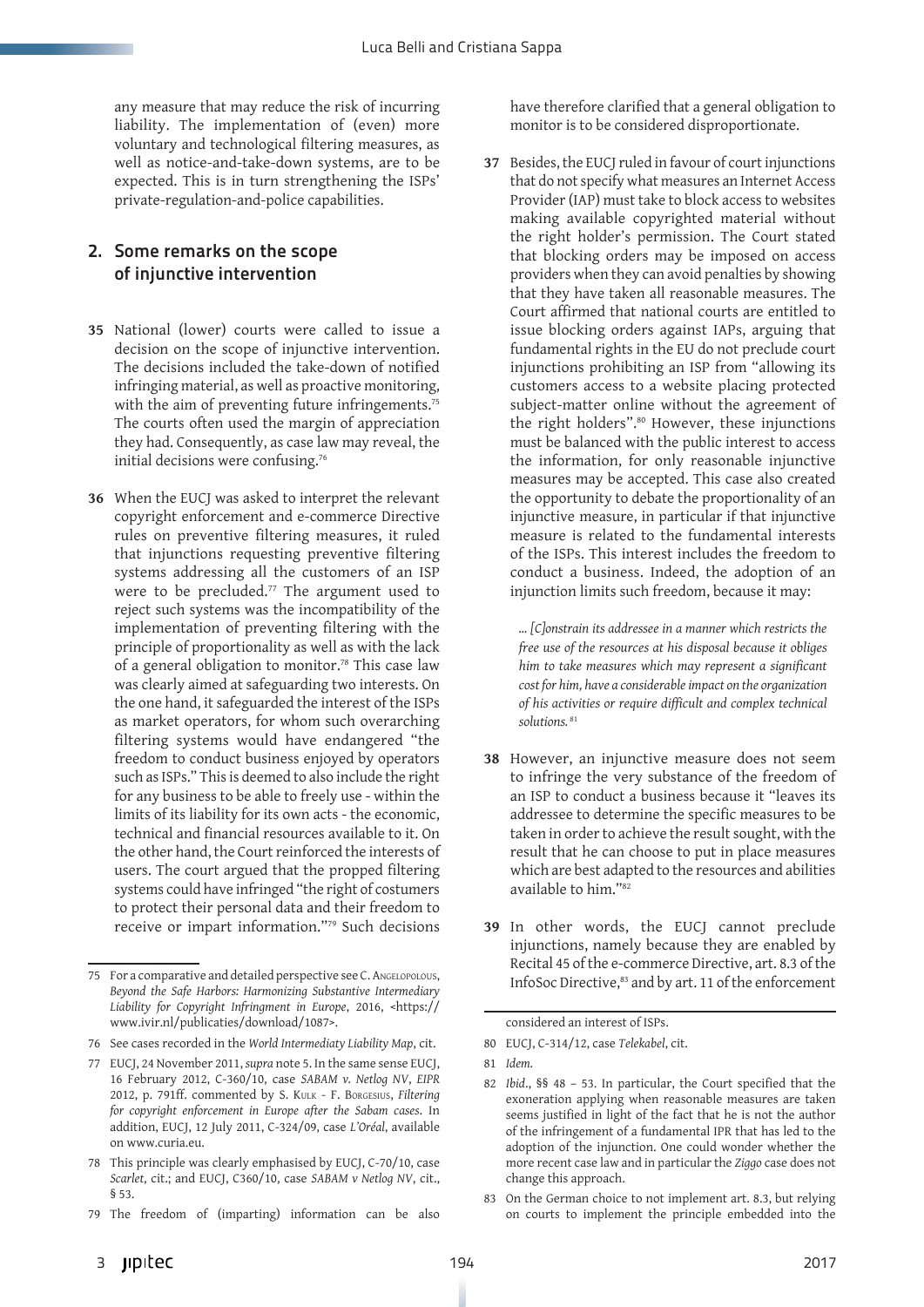any measure that may reduce the risk of incurring liability. The implementation of (even) more voluntary and technological filtering measures, as well as notice-and-take-down systems, are to be expected. This is in turn strengthening the ISPs' private-regulation-and-police capabilities.

#### 2. Some remarks on the scope of injunctive intervention

- **35** National (lower) courts were called to issue a decision on the scope of injunctive intervention. The decisions included the take-down of notified infringing material, as well as proactive monitoring, with the aim of preventing future infringements.<sup>75</sup> The courts often used the margin of appreciation they had. Consequently, as case law may reveal, the initial decisions were confusing.76
- **36** When the EUCJ was asked to interpret the relevant copyright enforcement and e-commerce Directive rules on preventive filtering measures, it ruled that injunctions requesting preventive filtering systems addressing all the customers of an ISP were to be precluded.<sup>77</sup> The argument used to reject such systems was the incompatibility of the implementation of preventing filtering with the principle of proportionality as well as with the lack of a general obligation to monitor.78 This case law was clearly aimed at safeguarding two interests. On the one hand, it safeguarded the interest of the ISPs as market operators, for whom such overarching filtering systems would have endangered "the freedom to conduct business enjoyed by operators such as ISPs." This is deemed to also include the right for any business to be able to freely use - within the limits of its liability for its own acts - the economic, technical and financial resources available to it. On the other hand, the Court reinforced the interests of users. The court argued that the propped filtering systems could have infringed "the right of costumers to protect their personal data and their freedom to receive or impart information."79 Such decisions

have therefore clarified that a general obligation to monitor is to be considered disproportionate.

**37** Besides, the EUCJ ruled in favour of court injunctions that do not specify what measures an Internet Access Provider (IAP) must take to block access to websites making available copyrighted material without the right holder's permission. The Court stated that blocking orders may be imposed on access providers when they can avoid penalties by showing that they have taken all reasonable measures. The Court affirmed that national courts are entitled to issue blocking orders against IAPs, arguing that fundamental rights in the EU do not preclude court injunctions prohibiting an ISP from "allowing its customers access to a website placing protected subject-matter online without the agreement of the right holders".<sup>80</sup> However, these injunctions must be balanced with the public interest to access the information, for only reasonable injunctive measures may be accepted. This case also created the opportunity to debate the proportionality of an injunctive measure, in particular if that injunctive measure is related to the fundamental interests of the ISPs. This interest includes the freedom to conduct a business. Indeed, the adoption of an injunction limits such freedom, because it may:

*… [C]onstrain its addressee in a manner which restricts the free use of the resources at his disposal because it obliges him to take measures which may represent a significant cost for him, have a considerable impact on the organization of his activities or require difficult and complex technical solutions.* <sup>81</sup>

- **38** However, an injunctive measure does not seem to infringe the very substance of the freedom of an ISP to conduct a business because it "leaves its addressee to determine the specific measures to be taken in order to achieve the result sought, with the result that he can choose to put in place measures which are best adapted to the resources and abilities available to him."82
- **39** In other words, the EUCJ cannot preclude injunctions, namely because they are enabled by Recital 45 of the e-commerce Directive, art. 8.3 of the InfoSoc Directive,<sup>83</sup> and by art. 11 of the enforcement

<sup>75</sup> For a comparative and detailed perspective see C. ANGELOPOLOUS, *Beyond the Safe Harbors: Harmonizing Substantive Intermediary Liability for Copyright Infringment in Europe*, 2016, <https:// www.ivir.nl/publicaties/download/1087>.

<sup>76</sup> See cases recorded in the *World Intermediaty Liability Map*, cit.

<sup>77</sup> EUCJ, 24 November 2011, *supra* note 5. In the same sense EUCJ, 16 February 2012, C-360/10, case *SABAM v. Netlog NV*, *EIPR* 2012, p. 791ff. commented by S. Kulk - F. Borgesius, *Filtering for copyright enforcement in Europe after the Sabam cases*. In addition, EUCJ, 12 July 2011, C-324/09, case *[L'Oréal](http://curia.europa.eu/juris/liste.jsf%3Flanguage%3Den%26num%3DC-324/09)*, available on www.curia.eu.

<sup>78</sup> This principle was clearly emphasised by EUCJ, C-70/10, case *Scarlet*, cit.; and EUCJ, C360/10, case *SABAM v Netlog NV*, cit., § 53.

<sup>79</sup> The freedom of (imparting) information can be also

considered an interest of ISPs.

<sup>80</sup> EUCJ, C-314/12, case *Telekabel*, cit.

<sup>81</sup> *Idem.*

<sup>82</sup> *Ibid*., §§ 48 – 53. In particular, the Court specified that the exoneration applying when reasonable measures are taken seems justified in light of the fact that he is not the author of the infringement of a fundamental IPR that has led to the adoption of the injunction. One could wonder whether the more recent case law and in particular the *Ziggo* case does not change this approach.

<sup>83</sup> On the German choice to not implement art. 8.3, but relying on courts to implement the principle embedded into the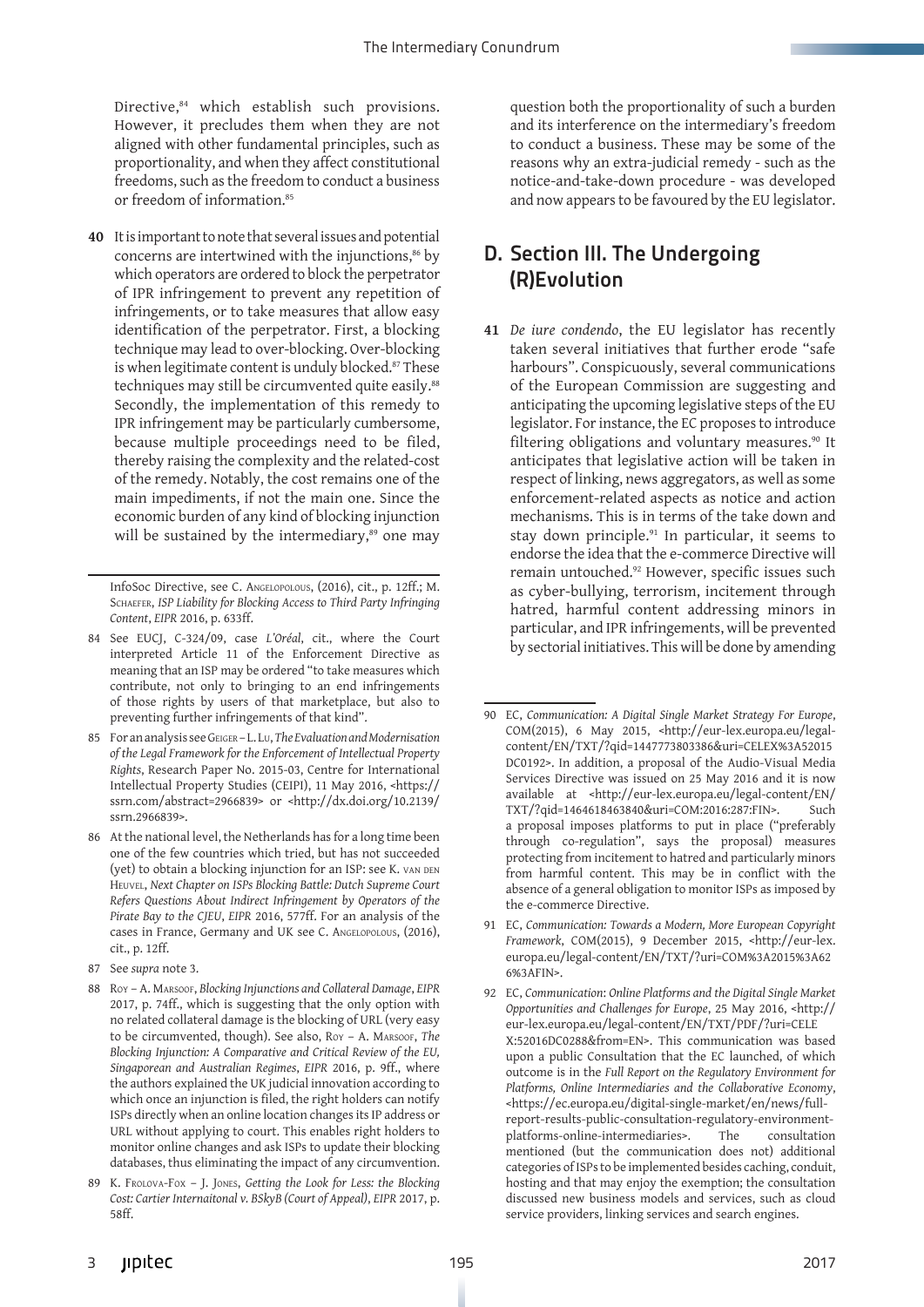Directive,<sup>84</sup> which establish such provisions. However, it precludes them when they are not aligned with other fundamental principles, such as proportionality, and when they affect constitutional freedoms, such as the freedom to conduct a business or freedom of information.<sup>85</sup>

**40** It is important to note that several issues and potential concerns are intertwined with the injunctions,<sup>86</sup> by which operators are ordered to block the perpetrator of IPR infringement to prevent any repetition of infringements, or to take measures that allow easy identification of the perpetrator. First, a blocking technique may lead to over-blocking. Over-blocking is when legitimate content is unduly blocked.<sup>87</sup> These techniques may still be circumvented quite easily.<sup>88</sup> Secondly, the implementation of this remedy to IPR infringement may be particularly cumbersome, because multiple proceedings need to be filed, thereby raising the complexity and the related-cost of the remedy. Notably, the cost remains one of the main impediments, if not the main one. Since the economic burden of any kind of blocking injunction will be sustained by the intermediary,<sup>89</sup> one may

InfoSoc Directive, see C. Angelopolous, (2016), cit., p. 12ff.; M. SCHAEFER, *ISP Liability for Blocking Access to Third Party Infringing Content*, *EIPR* 2016, p. 633ff.

- 84 See EUCJ, C-324/09, case *L'Oréal*, cit., where the Court interpreted Article 11 of the Enforcement Directive as meaning that an ISP may be ordered "to take measures which contribute, not only to bringing to an end infringements of those rights by users of that marketplace, but also to preventing further infringements of that kind".
- 85 For an analysis see Geiger L. Lu, *The Evaluation and Modernisation of the Legal Framework for the Enforcement of Intellectual Property Rights*, Research Paper No. 2015-03, Centre for International Intellectual Property Studies (CEIPI), 11 May 2016, <https:// ssrn.com/abstract=2966839> or <http://dx.doi.org/10.2139/ ssrn.2966839>.
- 86 At the national level, the Netherlands has for a long time been one of the few countries which tried, but has not succeeded (yet) to obtain a blocking injunction for an ISP: see K. van den Heuvel, *Next Chapter on ISPs Blocking Battle: Dutch Supreme Court Refers Questions About Indirect Infringement by Operators of the Pirate Bay to the CJEU*, *EIPR* 2016, 577ff. For an analysis of the cases in France, Germany and UK see C. Angelopolous, (2016), cit., p. 12ff.
- 87 See *supra* note 3.
- 88 Roy A. Marsoof, *Blocking Injunctions and Collateral Damage*, *EIPR* 2017, p. 74ff., which is suggesting that the only option with no related collateral damage is the blocking of URL (very easy to be circumvented, though). See also, Roy – A. Marsoof, *The Blocking Injunction: A Comparative and Critical Review of the EU, Singaporean and Australian Regimes*, *EIPR* 2016, p. 9ff., where the authors explained the UK judicial innovation according to which once an injunction is filed, the right holders can notify ISPs directly when an online location changes its IP address or URL without applying to court. This enables right holders to monitor online changes and ask ISPs to update their blocking databases, thus eliminating the impact of any circumvention.
- 89 K. Frolova-Fox J. Jones, *Getting the Look for Less: the Blocking Cost: Cartier Internaitonal v. BSkyB (Court of Appeal)*, *EIPR* 2017, p. 58ff.

question both the proportionality of such a burden and its interference on the intermediary's freedom to conduct a business. These may be some of the reasons why an extra-judicial remedy - such as the notice-and-take-down procedure - was developed and now appears to be favoured by the EU legislator.

# D. Section III. The Undergoing (R)Evolution

**41** *De iure condendo*, the EU legislator has recently taken several initiatives that further erode "safe harbours". Conspicuously, several communications of the European Commission are suggesting and anticipating the upcoming legislative steps of the EU legislator. For instance, the EC proposes to introduce filtering obligations and voluntary measures.<sup>90</sup> It anticipates that legislative action will be taken in respect of linking, news aggregators, as well as some enforcement-related aspects as notice and action mechanisms. This is in terms of the take down and stay down principle.<sup>91</sup> In particular, it seems to endorse the idea that the e-commerce Directive will remain untouched.92 However, specific issues such as cyber-bullying, terrorism, incitement through hatred, harmful content addressing minors in particular, and IPR infringements, will be prevented by sectorial initiatives. This will be done by amending

- 91 EC, *Communication: Towards a Modern, More European Copyright Framework*, COM(2015), 9 December 2015, <http://eur-lex. europa.eu/legal-content/EN/TXT/?uri=COM%3A2015%3A62 6%3AFIN>.
- 92 EC, *Communication*: *Online Platforms and the Digital Single Market Opportunities and Challenges for Europe*, 25 May 2016, <http:// eur-lex.europa.eu/legal-content/EN/TXT/PDF/?uri=CELE X:52016DC0288&from=EN>. This communication was based upon a public Consultation that the EC launched, of which outcome is in the *Full Report on the Regulatory Environment for Platforms, Online Intermediaries and the Collaborative Economy*, <https://ec.europa.eu/digital-single-market/en/news/fullreport-results-public-consultation-regulatory-environmentplatforms-online-intermediaries>. The consultation mentioned (but the communication does not) additional categories of ISPs to be implemented besides caching, conduit, hosting and that may enjoy the exemption; the consultation discussed new business models and services, such as cloud service providers, linking services and search engines.

<sup>90</sup> EC, *Communication: A Digital Single Market Strategy For Europe*, COM(2015), 6 May 2015, <http://eur-lex.europa.eu/legalcontent/EN/TXT/?qid=1447773803386&uri=CELEX%3A52015 DC0192>. In addition, a proposal of the Audio-Visual Media Services Directive was issued on 25 May 2016 and it is now available at <http://eur-lex.europa.eu/legal-content/EN/ TXT/?qid=1464618463840&uri=COM:2016:287:FIN>. Such a proposal imposes platforms to put in place ("preferably through co-regulation", says the proposal) measures protecting from incitement to hatred and particularly minors from harmful content. This may be in conflict with the absence of a general obligation to monitor ISPs as imposed by the e-commerce Directive.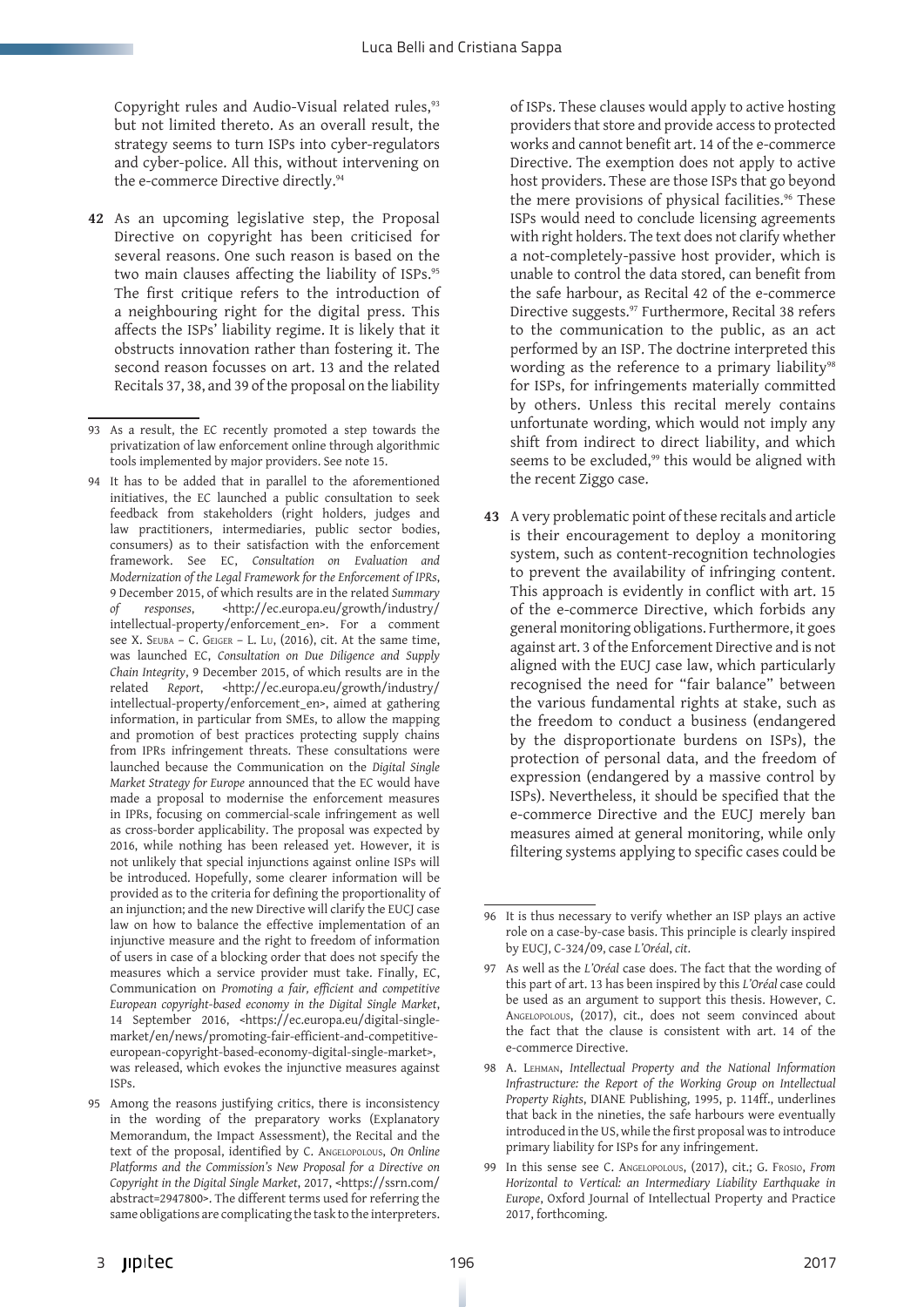Copyright rules and Audio-Visual related rules,<sup>93</sup> but not limited thereto. As an overall result, the strategy seems to turn ISPs into cyber-regulators and cyber-police. All this, without intervening on the e-commerce Directive directly.<sup>94</sup>

**42** As an upcoming legislative step, the Proposal Directive on copyright has been criticised for several reasons. One such reason is based on the two main clauses affecting the liability of ISPs.<sup>95</sup> The first critique refers to the introduction of a neighbouring right for the digital press. This affects the ISPs' liability regime. It is likely that it obstructs innovation rather than fostering it. The second reason focusses on art. 13 and the related Recitals 37, 38, and 39 of the proposal on the liability

of ISPs. These clauses would apply to active hosting providers that store and provide access to protected works and cannot benefit art. 14 of the e-commerce Directive. The exemption does not apply to active host providers. These are those ISPs that go beyond the mere provisions of physical facilities.<sup>96</sup> These ISPs would need to conclude licensing agreements with right holders. The text does not clarify whether a not-completely-passive host provider, which is unable to control the data stored, can benefit from the safe harbour, as Recital 42 of the e-commerce Directive suggests.<sup>97</sup> Furthermore, Recital 38 refers to the communication to the public, as an act performed by an ISP. The doctrine interpreted this wording as the reference to a primary liability<sup>98</sup> for ISPs, for infringements materially committed by others. Unless this recital merely contains unfortunate wording, which would not imply any shift from indirect to direct liability, and which seems to be excluded,<sup>99</sup> this would be aligned with the recent Ziggo case.

**43** A very problematic point of these recitals and article is their encouragement to deploy a monitoring system, such as content-recognition technologies to prevent the availability of infringing content. This approach is evidently in conflict with art. 15 of the e-commerce Directive, which forbids any general monitoring obligations. Furthermore, it goes against art. 3 of the Enforcement Directive and is not aligned with the EUCJ case law, which particularly recognised the need for "fair balance" between the various fundamental rights at stake, such as the freedom to conduct a business (endangered by the disproportionate burdens on ISPs), the protection of personal data, and the freedom of expression (endangered by a massive control by ISPs). Nevertheless, it should be specified that the e-commerce Directive and the EUCJ merely ban measures aimed at general monitoring, while only filtering systems applying to specific cases could be

<sup>93</sup> As a result, the EC recently promoted a step towards the privatization of law enforcement online through algorithmic tools implemented by major providers. See note 15.

<sup>94</sup> It has to be added that in parallel to the aforementioned initiatives, the EC launched a public consultation to seek feedback from stakeholders (right holders, judges and law practitioners, intermediaries, public sector bodies, consumers) as to their satisfaction with the enforcement framework. See EC, *Consultation on Evaluation and Modernization of the Legal Framework for the Enforcement of IPRs*, 9 December 2015, of which results are in the related *Summary of responses*, <http://ec.europa.eu/growth/industry/ intellectual-property/enforcement\_en>. For a comment see X. SEUBA – C. GEIGER – L. LU, (2016), cit. At the same time, was launched EC, *Consultation on Due Diligence and Supply Chain Integrity*, 9 December 2015, of which results are in the related *Report*, <http://ec.europa.eu/growth/industry/ intellectual-property/enforcement\_en>, aimed at gathering information, in particular from SMEs, to allow the mapping and promotion of best practices protecting supply chains from IPRs infringement threats. These consultations were launched because the Communication on the *Digital Single Market Strategy for Europe* announced that the EC would have made a proposal to modernise the enforcement measures in IPRs, focusing on commercial-scale infringement as well as cross-border applicability. The proposal was expected by 2016, while nothing has been released yet. However, it is not unlikely that special injunctions against online ISPs will be introduced. Hopefully, some clearer information will be provided as to the criteria for defining the proportionality of an injunction; and the new Directive will clarify the EUCJ case law on how to balance the effective implementation of an injunctive measure and the right to freedom of information of users in case of a blocking order that does not specify the measures which a service provider must take. Finally, EC, Communication on *Promoting a fair, efficient and competitive European copyright-based economy in the Digital Single Market*, 14 September 2016, <https://ec.europa.eu/digital-singlemarket/en/news/promoting-fair-efficient-and-competitiveeuropean-copyright-based-economy-digital-single-market>, was released, which evokes the injunctive measures against ISPs.

<sup>95</sup> Among the reasons justifying critics, there is inconsistency in the wording of the preparatory works (Explanatory Memorandum, the Impact Assessment), the Recital and the text of the proposal, identified by C. Angelopolous, *On Online Platforms and the Commission's New Proposal for a Directive on Copyright in the Digital Single Market*, 2017, <https://ssrn.com/ abstract=2947800>. The different terms used for referring the same obligations are complicating the task to the interpreters.

<sup>96</sup> It is thus necessary to verify whether an ISP plays an active role on a case-by-case basis. This principle is clearly inspired by EUCJ, C-324/09, case *L'Oréal*, *cit*.

<sup>97</sup> As well as the *L'Oréal* case does. The fact that the wording of this part of art. 13 has been inspired by this *L'Oréal* case could be used as an argument to support this thesis. However, C. Angelopolous, (2017), cit., does not seem convinced about the fact that the clause is consistent with art. 14 of the e-commerce Directive.

<sup>98</sup> A. Lehman, *Intellectual Property and the National Information Infrastructure: the Report of the Working Group on Intellectual Property Rights*, DIANE Publishing, 1995, p. 114ff., underlines that back in the nineties, the safe harbours were eventually introduced in the US, while the first proposal was to introduce primary liability for ISPs for any infringement.

<sup>99</sup> In this sense see C. Angelopolous, (2017), cit.; G. Frosio, *From Horizontal to Vertical: an Intermediary Liability Earthquake in Europe*, Oxford Journal of Intellectual Property and Practice 2017, forthcoming.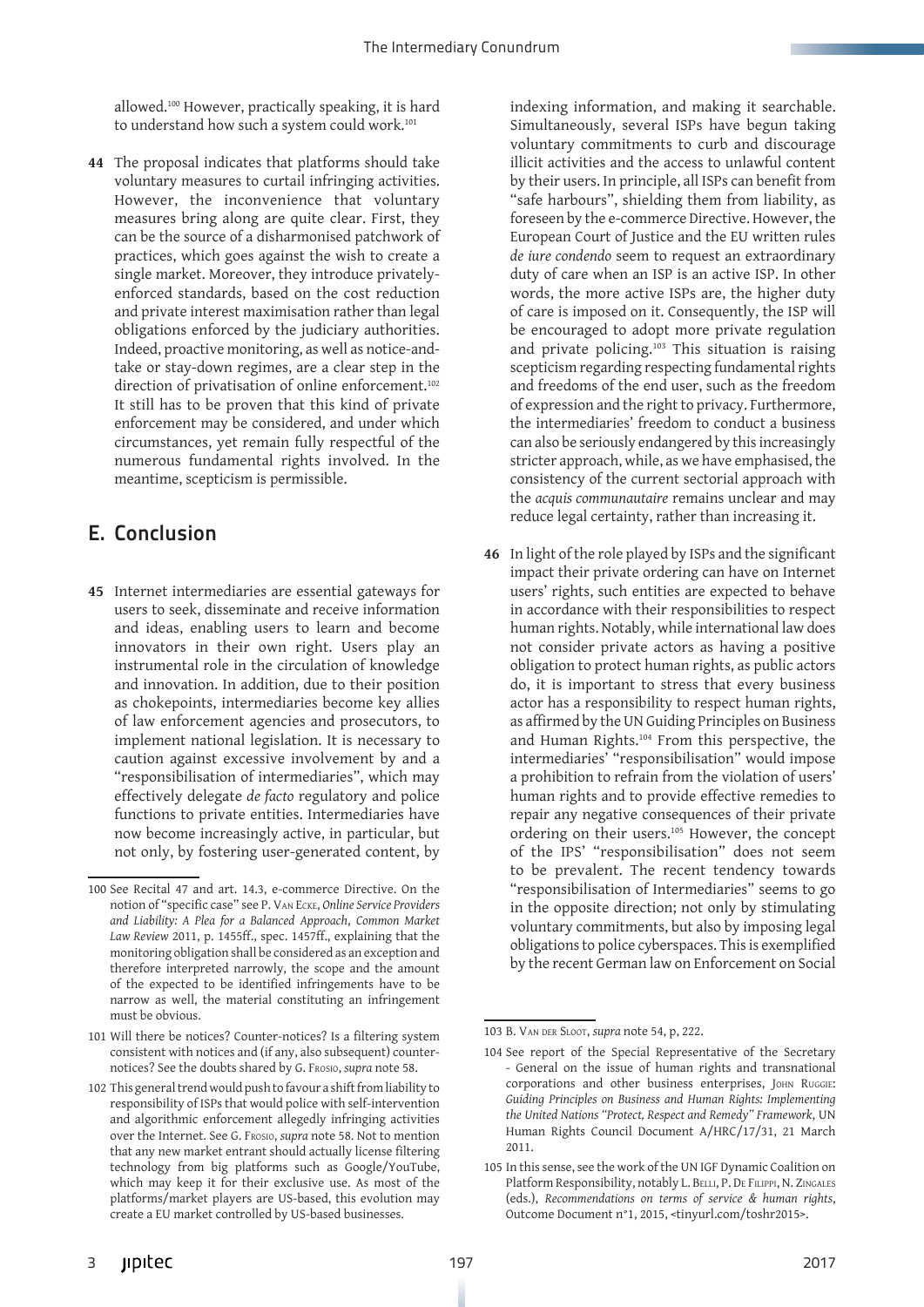allowed.100 However, practically speaking, it is hard to understand how such a system could work.<sup>101</sup>

**44** The proposal indicates that platforms should take voluntary measures to curtail infringing activities. However, the inconvenience that voluntary measures bring along are quite clear. First, they can be the source of a disharmonised patchwork of practices, which goes against the wish to create a single market. Moreover, they introduce privatelyenforced standards, based on the cost reduction and private interest maximisation rather than legal obligations enforced by the judiciary authorities. Indeed, proactive monitoring, as well as notice-andtake or stay-down regimes, are a clear step in the direction of privatisation of online enforcement.<sup>102</sup> It still has to be proven that this kind of private enforcement may be considered, and under which circumstances, yet remain fully respectful of the numerous fundamental rights involved. In the meantime, scepticism is permissible.

# E. Conclusion

**45** Internet intermediaries are essential gateways for users to seek, disseminate and receive information and ideas, enabling users to learn and become innovators in their own right. Users play an instrumental role in the circulation of knowledge and innovation. In addition, due to their position as chokepoints, intermediaries become key allies of law enforcement agencies and prosecutors, to implement national legislation. It is necessary to caution against excessive involvement by and a "responsibilisation of intermediaries", which may effectively delegate *de facto* regulatory and police functions to private entities. Intermediaries have now become increasingly active, in particular, but not only, by fostering user-generated content, by indexing information, and making it searchable. Simultaneously, several ISPs have begun taking voluntary commitments to curb and discourage illicit activities and the access to unlawful content by their users. In principle, all ISPs can benefit from "safe harbours", shielding them from liability, as foreseen by the e-commerce Directive. However, the European Court of Justice and the EU written rules *de iure condendo* seem to request an extraordinary duty of care when an ISP is an active ISP. In other words, the more active ISPs are, the higher duty of care is imposed on it. Consequently, the ISP will be encouraged to adopt more private regulation and private policing.103 This situation is raising scepticism regarding respecting fundamental rights and freedoms of the end user, such as the freedom of expression and the right to privacy. Furthermore, the intermediaries' freedom to conduct a business can also be seriously endangered by this increasingly stricter approach, while, as we have emphasised, the consistency of the current sectorial approach with the *acquis communautaire* remains unclear and may reduce legal certainty, rather than increasing it.

**46** In light of the role played by ISPs and the significant impact their private ordering can have on Internet users' rights, such entities are expected to behave in accordance with their responsibilities to respect human rights. Notably, while international law does not consider private actors as having a positive obligation to protect human rights, as public actors do, it is important to stress that every business actor has a responsibility to respect human rights, as affirmed by the UN Guiding Principles on Business and Human Rights.104 From this perspective, the intermediaries' "responsibilisation" would impose a prohibition to refrain from the violation of users' human rights and to provide effective remedies to repair any negative consequences of their private ordering on their users.105 However, the concept of the IPS' "responsibilisation" does not seem to be prevalent. The recent tendency towards "responsibilisation of Intermediaries" seems to go in the opposite direction; not only by stimulating voluntary commitments, but also by imposing legal obligations to police cyberspaces. This is exemplified by the recent German law on Enforcement on Social

<sup>100</sup> See Recital 47 and art. 14.3, e-commerce Directive. On the notion of "specific case" see P. Van Ecke, *Online Service Providers and Liability: A Plea for a Balanced Approach*, *Common Market Law Review* 2011, p. 1455ff., spec. 1457ff., explaining that the monitoring obligation shall be considered as an exception and therefore interpreted narrowly, the scope and the amount of the expected to be identified infringements have to be narrow as well, the material constituting an infringement must be obvious.

<sup>101</sup> Will there be notices? Counter-notices? Is a filtering system consistent with notices and (if any, also subsequent) counternotices? See the doubts shared by G. Frosio, *supra* note 58.

<sup>102</sup> This general trend would push to favour a shift from liability to responsibility of ISPs that would police with self-intervention and algorithmic enforcement allegedly infringing activities over the Internet. See G. Frosio, *supra* note 58. Not to mention that any new market entrant should actually license filtering technology from big platforms such as Google/YouTube, which may keep it for their exclusive use. As most of the platforms/market players are US-based, this evolution may create a EU market controlled by US-based businesses.

<sup>103</sup> B. Van der Sloot, *supra* note 54, p, 222.

<sup>104</sup> See report of the Special Representative of the Secretary - General on the issue of human rights and transnational corporations and other business enterprises, John Ruggie: *Guiding Principles on Business and Human Rights: Implementing the United Nations "Protect, Respect and Remedy" Framework*, UN Human Rights Council Document A/HRC/17/31, 21 March 2011.

<sup>105</sup> In this sense, see the work of the UN IGF Dynamic Coalition on Platform Responsibility, notably L. BELLI, P. DE FILIPPI, N. ZINGALES (eds.), *Recommendations on terms of service & human rights*, Outcome Document n°1, 2015, <tinyurl.com/toshr2015>.